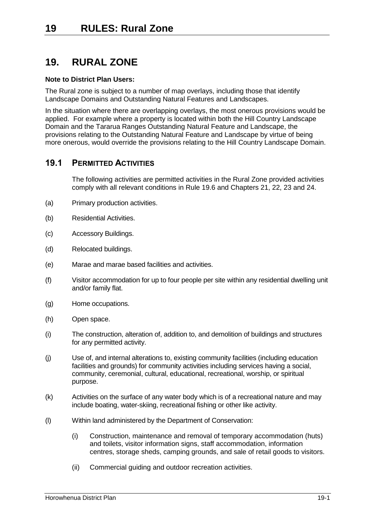# **19. RURAL ZONE**

## **Note to District Plan Users:**

The Rural zone is subject to a number of map overlays, including those that identify Landscape Domains and Outstanding Natural Features and Landscapes.

In the situation where there are overlapping overlays, the most onerous provisions would be applied. For example where a property is located within both the Hill Country Landscape Domain and the Tararua Ranges Outstanding Natural Feature and Landscape, the provisions relating to the Outstanding Natural Feature and Landscape by virtue of being more onerous, would override the provisions relating to the Hill Country Landscape Domain.

## **19.1 PERMITTED ACTIVITIES**

The following activities are permitted activities in the Rural Zone provided activities comply with all relevant conditions in Rule [19.6](#page-12-0) and Chapters 21, 22, 23 and 24.

- (a) Primary production activities.
- (b) Residential Activities.
- (c) Accessory Buildings.
- (d) Relocated buildings.
- (e) Marae and marae based facilities and activities.
- (f) Visitor accommodation for up to four people per site within any residential dwelling unit and/or family flat.
- (g) Home occupations.
- (h) Open space.
- (i) The construction, alteration of, addition to, and demolition of buildings and structures for any permitted activity.
- (j) Use of, and internal alterations to, existing community facilities (including education facilities and grounds) for community activities including services having a social, community, ceremonial, cultural, educational, recreational, worship, or spiritual purpose.
- (k) Activities on the surface of any water body which is of a recreational nature and may include boating, water-skiing, recreational fishing or other like activity.
- (l) Within land administered by the Department of Conservation:
	- (i) Construction, maintenance and removal of temporary accommodation (huts) and toilets, visitor information signs, staff accommodation, information centres, storage sheds, camping grounds, and sale of retail goods to visitors.
	- (ii) Commercial guiding and outdoor recreation activities.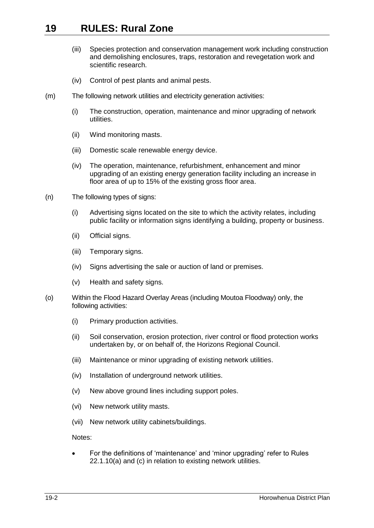- (iii) Species protection and conservation management work including construction and demolishing enclosures, traps, restoration and revegetation work and scientific research.
- (iv) Control of pest plants and animal pests.
- <span id="page-1-0"></span>(m) The following network utilities and electricity generation activities:
	- (i) The construction, operation, maintenance and minor upgrading of network utilities.
	- (ii) Wind monitoring masts.
	- (iii) Domestic scale renewable energy device.
	- (iv) The operation, maintenance, refurbishment, enhancement and minor upgrading of an existing energy generation facility including an increase in floor area of up to 15% of the existing gross floor area.
- (n) The following types of signs:
	- (i) Advertising signs located on the site to which the activity relates, including public facility or information signs identifying a building, property or business.
	- (ii) Official signs.
	- (iii) Temporary signs.
	- (iv) Signs advertising the sale or auction of land or premises.
	- (v) Health and safety signs.
- <span id="page-1-1"></span>(o) Within the Flood Hazard Overlay Areas (including Moutoa Floodway) only, the following activities:
	- (i) Primary production activities.
	- (ii) Soil conservation, erosion protection, river control or flood protection works undertaken by, or on behalf of, the Horizons Regional Council.
	- (iii) Maintenance or minor upgrading of existing network utilities.
	- (iv) Installation of underground network utilities.
	- (v) New above ground lines including support poles.
	- (vi) New network utility masts.
	- (vii) New network utility cabinets/buildings.

Notes:

 For the definitions of 'maintenance' and 'minor upgrading' refer to Rules 22.1.10(a) and (c) in relation to existing network utilities.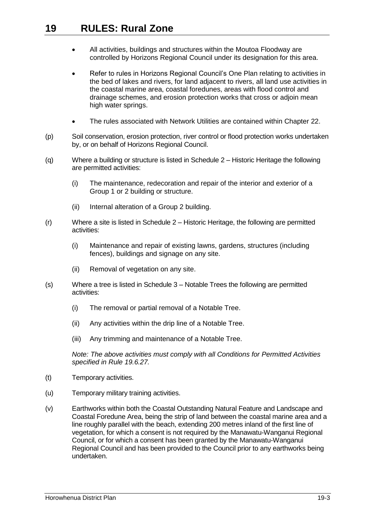- All activities, buildings and structures within the Moutoa Floodway are controlled by Horizons Regional Council under its designation for this area.
- Refer to rules in Horizons Regional Council's One Plan relating to activities in the bed of lakes and rivers, for land adjacent to rivers, all land use activities in the coastal marine area, coastal foredunes, areas with flood control and drainage schemes, and erosion protection works that cross or adjoin mean high water springs.
- The rules associated with Network Utilities are contained within Chapter 22.
- (p) Soil conservation, erosion protection, river control or flood protection works undertaken by, or on behalf of Horizons Regional Council.
- (q) Where a building or structure is listed in Schedule 2 Historic Heritage the following are permitted activities:
	- (i) The maintenance, redecoration and repair of the interior and exterior of a Group 1 or 2 building or structure.
	- (ii) Internal alteration of a Group 2 building.
- (r) Where a site is listed in Schedule 2 Historic Heritage, the following are permitted activities:
	- (i) Maintenance and repair of existing lawns, gardens, structures (including fences), buildings and signage on any site.
	- (ii) Removal of vegetation on any site.
- (s) Where a tree is listed in Schedule 3 Notable Trees the following are permitted activities:
	- (i) The removal or partial removal of a Notable Tree.
	- (ii) Any activities within the drip line of a Notable Tree.
	- (iii) Any trimming and maintenance of a Notable Tree.

*Note: The above activities must comply with all Conditions for Permitted Activities specified in Rule [19.6.27.](#page-24-0)*

- (t) Temporary activities.
- (u) Temporary military training activities.
- (v) Earthworks within both the Coastal Outstanding Natural Feature and Landscape and Coastal Foredune Area, being the strip of land between the coastal marine area and a line roughly parallel with the beach, extending 200 metres inland of the first line of vegetation, for which a consent is not required by the Manawatu-Wanganui Regional Council, or for which a consent has been granted by the Manawatu-Wanganui Regional Council and has been provided to the Council prior to any earthworks being undertaken.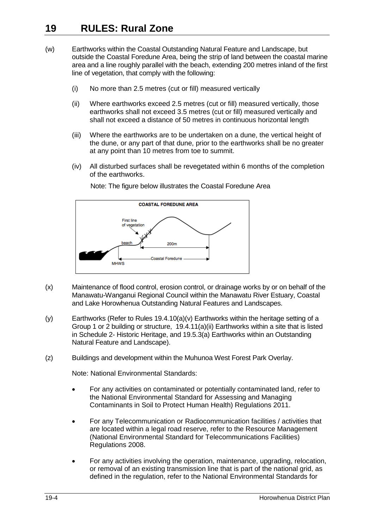- (w) Earthworks within the Coastal Outstanding Natural Feature and Landscape, but outside the Coastal Foredune Area, being the strip of land between the coastal marine area and a line roughly parallel with the beach, extending 200 metres inland of the first line of vegetation, that comply with the following:
	- (i) No more than 2.5 metres (cut or fill) measured vertically
	- (ii) Where earthworks exceed 2.5 metres (cut or fill) measured vertically, those earthworks shall not exceed 3.5 metres (cut or fill) measured vertically and shall not exceed a distance of 50 metres in continuous horizontal length
	- (iii) Where the earthworks are to be undertaken on a dune, the vertical height of the dune, or any part of that dune, prior to the earthworks shall be no greater at any point than 10 metres from toe to summit.
	- (iv) All disturbed surfaces shall be revegetated within 6 months of the completion of the earthworks.



Note: The figure below illustrates the Coastal Foredune Area

- (x) Maintenance of flood control, erosion control, or drainage works by or on behalf of the Manawatu-Wanganui Regional Council within the Manawatu River Estuary, Coastal and Lake Horowhenua Outstanding Natural Features and Landscapes.
- (y) Earthworks (Refer to Rules [19.4.10\(a\)\(v\)](#page-9-0) Earthworks within the heritage setting of a Group 1 or 2 building or structure, [19.4.11\(a\)\(ii\)](#page-9-1) Earthworks within a site that is listed in Schedule 2- Historic Heritage, and [19.5.3\(a\)](#page-12-1) Earthworks within an Outstanding Natural Feature and Landscape).
- <span id="page-3-0"></span>(z) Buildings and development within the Muhunoa West Forest Park Overlay.

Note: National Environmental Standards:

- For any activities on contaminated or potentially contaminated land, refer to the National Environmental Standard for Assessing and Managing Contaminants in Soil to Protect Human Health) Regulations 2011.
- For any Telecommunication or Radiocommunication facilities / activities that are located within a legal road reserve, refer to the Resource Management (National Environmental Standard for Telecommunications Facilities) Regulations 2008.
- For any activities involving the operation, maintenance, upgrading, relocation, or removal of an existing transmission line that is part of the national grid, as defined in the regulation, refer to the National Environmental Standards for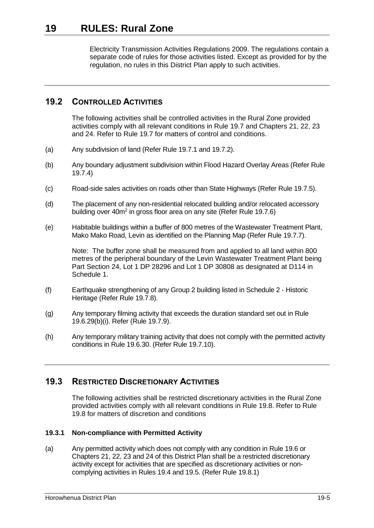Electricity Transmission Activities Regulations 2009. The regulations contain a separate code of rules for those activities listed. Except as provided for by the regulation, no rules in this District Plan apply to such activities.

## **19.2 CONTROLLED ACTIVITIES**

The following activities shall be controlled activities in the Rural Zone provided activities comply with all relevant conditions in Rule [19.7](#page-29-0) and Chapters 21, 22, 23 and 24. Refer to Rule [19.7](#page-29-0) for matters of control and conditions.

- <span id="page-4-1"></span>(a) Any subdivision of land (Refer Rule [19.7.1](#page-29-1) and [19.7.2\)](#page-32-0).
- <span id="page-4-0"></span>(b) Any boundary adjustment subdivision within Flood Hazard Overlay Areas (Refer Rule [19.7.4\)](#page-37-0)
- <span id="page-4-2"></span>(c) Road-side sales activities on roads other than State Highways (Refer Rule [19.7.5\)](#page-37-1).
- <span id="page-4-3"></span>(d) The placement of any non-residential relocated building and/or relocated accessory building over 40m<sup>2</sup> in gross floor area on any site (Refer Rul[e 19.7.6\)](#page-37-2)
- <span id="page-4-4"></span>(e) Habitable buildings within a buffer of 800 metres of the Wastewater Treatment Plant, Mako Mako Road, Levin as identified on the Planning Map (Refer Rule [19.7.7\)](#page-38-0).

Note: The buffer zone shall be measured from and applied to all land within 800 metres of the peripheral boundary of the Levin Wastewater Treatment Plant being Part Section 24, Lot 1 DP 28296 and Lot 1 DP 30808 as designated at D114 in Schedule 1.

- <span id="page-4-5"></span>(f) Earthquake strengthening of any Group 2 building listed in Schedule 2 - Historic Heritage (Refer Rule [19.7.8\)](#page-39-0).
- <span id="page-4-6"></span>(g) Any temporary filming activity that exceeds the duration standard set out in Rule [19.6.29\(b\)\(i\).](#page-26-0) Refer (Rule [19.7.9\)](#page-39-1).
- <span id="page-4-7"></span>(h) Any temporary military training activity that does not comply with the permitted activity conditions in Rule [19.6.30.](#page-26-1) (Refer Rule [19.7.10\)](#page-39-2).

## **19.3 RESTRICTED DISCRETIONARY ACTIVITIES**

The following activities shall be restricted discretionary activities in the Rural Zone provided activities comply with all relevant conditions in Rule [19.8.](#page-40-0) Refer to Rule [19.8](#page-40-0) for matters of discretion and conditions

## <span id="page-4-8"></span>**19.3.1 Non-compliance with Permitted Activity**

(a) Any permitted activity which does not comply with any condition in Rul[e 19.6](#page-12-0) or Chapters 21, 22, 23 and 24 of this District Plan shall be a restricted discretionary activity except for activities that are specified as discretionary activities or noncomplying activities in Rule[s 19.4](#page-7-0) and [19.5.](#page-11-0) (Refer Rule [19.8.1\)](#page-40-1)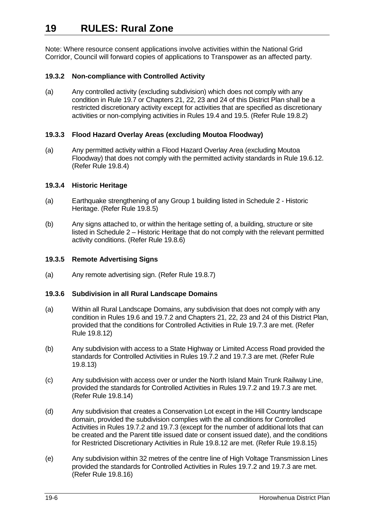Note: Where resource consent applications involve activities within the National Grid Corridor, Council will forward copies of applications to Transpower as an affected party.

## <span id="page-5-0"></span>**19.3.2 Non-compliance with Controlled Activity**

(a) Any controlled activity (excluding subdivision) which does not comply with any condition in Rule [19.7](#page-29-0) or Chapters 21, 22, 23 and 24 of this District Plan shall be a restricted discretionary activity except for activities that are specified as discretionary activities or non-complying activities in Rules [19.4](#page-7-0) an[d 19.5.](#page-11-0) (Refer Rul[e 19.8.2\)](#page-40-2)

## <span id="page-5-1"></span>**19.3.3 Flood Hazard Overlay Areas (excluding Moutoa Floodway)**

(a) Any permitted activity within a Flood Hazard Overlay Area (excluding Moutoa Floodway) that does not comply with the permitted activity standards in Rul[e 19.6.12.](#page-17-0) (Refer Rule [19.8.4\)](#page-41-0)

## **19.3.4 Historic Heritage**

- <span id="page-5-2"></span>(a) Earthquake strengthening of any Group 1 building listed in Schedule 2 - Historic Heritage. (Refer Rule [19.8.5\)](#page-41-1)
- <span id="page-5-3"></span>(b) Any signs attached to, or within the heritage setting of, a building, structure or site listed in Schedule 2 – Historic Heritage that do not comply with the relevant permitted activity conditions. (Refer Rule [19.8.6\)](#page-41-2)

## <span id="page-5-4"></span>**19.3.5 Remote Advertising Signs**

(a) Any remote advertising sign. (Refer Rule [19.8.7\)](#page-42-0)

## <span id="page-5-5"></span>**19.3.6 Subdivision in all Rural Landscape Domains**

- (a) Within all Rural Landscape Domains, any subdivision that does not comply with any condition in Rules [19.6](#page-12-0) and [19.7.2](#page-32-0) and Chapters 21, 22, 23 and 24 of this District Plan, provided that the conditions for Controlled Activities in Rule [19.7.3](#page-34-0) are met. (Refer Rule [19.8.12\)](#page-44-0)
- <span id="page-5-6"></span>(b) Any subdivision with access to a State Highway or Limited Access Road provided the standards for Controlled Activities in Rule[s 19.7.2](#page-32-0) and [19.7.3](#page-34-0) are met. (Refer Rule [19.8.13\)](#page-45-0)
- <span id="page-5-7"></span>(c) Any subdivision with access over or under the North Island Main Trunk Railway Line, provided the standards for Controlled Activities in Rules [19.7.2](#page-32-0) an[d 19.7.3](#page-34-0) are met. (Refer Rule [19.8.14\)](#page-46-0)
- <span id="page-5-8"></span>(d) Any subdivision that creates a Conservation Lot except in the Hill Country landscape domain, provided the subdivision complies with the all conditions for Controlled Activities in Rules [19.7.2](#page-32-0) and [19.7.3](#page-34-0) (except for the number of additional lots that can be created and the Parent title issued date or consent issued date), and the conditions for Restricted Discretionary Activities in Rule [19.8.12](#page-44-0) are met. (Refer Rule [19.8.15\)](#page-46-1)
- <span id="page-5-9"></span>(e) Any subdivision within 32 metres of the centre line of High Voltage Transmission Lines provided the standards for Controlled Activities in Rules [19.7.2](#page-32-0) an[d 19.7.3](#page-34-0) are met. (Refer Rule [19.8.16\)](#page-46-2)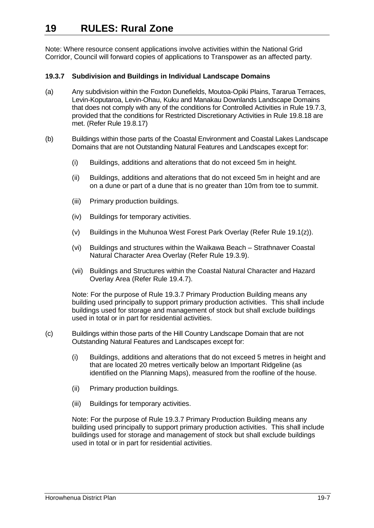Note: Where resource consent applications involve activities within the National Grid Corridor, Council will forward copies of applications to Transpower as an affected party.

## <span id="page-6-0"></span>**19.3.7 Subdivision and Buildings in Individual Landscape Domains**

- (a) Any subdivision within the Foxton Dunefields, Moutoa-Opiki Plains, Tararua Terraces, Levin-Koputaroa, Levin-Ohau, Kuku and Manakau Downlands Landscape Domains that does not comply with any of the conditions for Controlled Activities in Rule [19.7.3,](#page-34-0) provided that the conditions for Restricted Discretionary Activities in Rule [19.8.18](#page-48-0) are met. (Refer Rule 19.8.17)
- <span id="page-6-1"></span>(b) Buildings within those parts of the Coastal Environment and Coastal Lakes Landscape Domains that are not Outstanding Natural Features and Landscapes except for:
	- (i) Buildings, additions and alterations that do not exceed 5m in height.
	- (ii) Buildings, additions and alterations that do not exceed 5m in height and are on a dune or part of a dune that is no greater than 10m from toe to summit.
	- (iii) Primary production buildings.
	- (iv) Buildings for temporary activities.
	- (v) Buildings in the Muhunoa West Forest Park Overlay (Refer Rule [19.1\(z\)\)](#page-3-0).
	- (vi) Buildings and structures within the Waikawa Beach Strathnaver Coastal Natural Character Area Overlay (Refer Rule [19.3.9\)](#page-7-1).
	- (vii) Buildings and Structures within the Coastal Natural Character and Hazard Overlay Area (Refer Rule [19.4.7\)](#page-8-0).

Note: For the purpose of Rule [19.3.7](#page-6-0) Primary Production Building means any building used principally to support primary production activities. This shall include buildings used for storage and management of stock but shall exclude buildings used in total or in part for residential activities.

- <span id="page-6-2"></span>(c) Buildings within those parts of the Hill Country Landscape Domain that are not Outstanding Natural Features and Landscapes except for:
	- (i) Buildings, additions and alterations that do not exceed 5 metres in height and that are located 20 metres vertically below an Important Ridgeline (as identified on the Planning Maps), measured from the roofline of the house.
	- (ii) Primary production buildings.
	- (iii) Buildings for temporary activities.

Note: For the purpose of Rule [19.3.7](#page-6-0) Primary Production Building means any building used principally to support primary production activities. This shall include buildings used for storage and management of stock but shall exclude buildings used in total or in part for residential activities.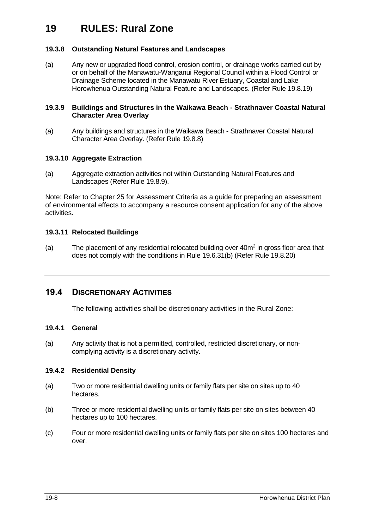## <span id="page-7-2"></span>**19.3.8 Outstanding Natural Features and Landscapes**

(a) Any new or upgraded flood control, erosion control, or drainage works carried out by or on behalf of the Manawatu-Wanganui Regional Council within a Flood Control or Drainage Scheme located in the Manawatu River Estuary, Coastal and Lake Horowhenua Outstanding Natural Feature and Landscapes. (Refer Rule [19.8.19\)](#page-50-0)

#### <span id="page-7-1"></span>**19.3.9 Buildings and Structures in the Waikawa Beach - Strathnaver Coastal Natural Character Area Overlay**

(a) Any buildings and structures in the Waikawa Beach - Strathnaver Coastal Natural Character Area Overlay. (Refer Rule [19.8.8\)](#page-42-1)

## **19.3.10 Aggregate Extraction**

(a) Aggregate extraction activities not within Outstanding Natural Features and Landscapes (Refer Rule [19.8.9\)](#page-43-0).

Note: Refer to Chapter 25 for Assessment Criteria as a guide for preparing an assessment of environmental effects to accompany a resource consent application for any of the above activities.

## **19.3.11 Relocated Buildings**

(a) The placement of any residential relocated building over  $40m^2$  in gross floor area that does not comply with the conditions in Rule 19.6.31(b) (Refer Rule 19.8.20)

## <span id="page-7-0"></span>**19.4 DISCRETIONARY ACTIVITIES**

The following activities shall be discretionary activities in the Rural Zone:

## **19.4.1 General**

(a) Any activity that is not a permitted, controlled, restricted discretionary, or noncomplying activity is a discretionary activity.

## **19.4.2 Residential Density**

- (a) Two or more residential dwelling units or family flats per site on sites up to 40 hectares.
- (b) Three or more residential dwelling units or family flats per site on sites between 40 hectares up to 100 hectares.
- (c) Four or more residential dwelling units or family flats per site on sites 100 hectares and over.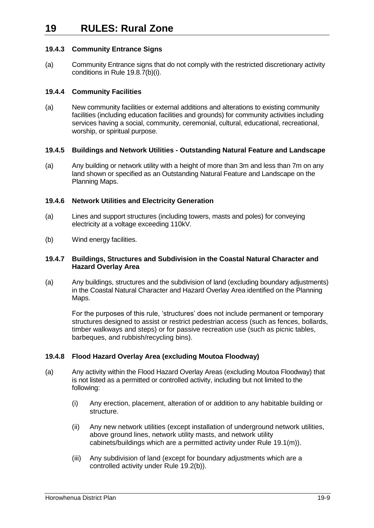## **19.4.3 Community Entrance Signs**

(a) Community Entrance signs that do not comply with the restricted discretionary activity conditions in Rule [19.8.7\(b\)\(i\).](#page-42-2)

#### **19.4.4 Community Facilities**

(a) New community facilities or external additions and alterations to existing community facilities (including education facilities and grounds) for community activities including services having a social, community, ceremonial, cultural, educational, recreational, worship, or spiritual purpose.

#### **19.4.5 Buildings and Network Utilities - Outstanding Natural Feature and Landscape**

(a) Any building or network utility with a height of more than 3m and less than 7m on any land shown or specified as an Outstanding Natural Feature and Landscape on the Planning Maps.

#### **19.4.6 Network Utilities and Electricity Generation**

- (a) Lines and support structures (including towers, masts and poles) for conveying electricity at a voltage exceeding 110kV.
- (b) Wind energy facilities.

#### <span id="page-8-0"></span>**19.4.7 Buildings, Structures and Subdivision in the Coastal Natural Character and Hazard Overlay Area**

(a) Any buildings, structures and the subdivision of land (excluding boundary adjustments) in the Coastal Natural Character and Hazard Overlay Area identified on the Planning Maps.

For the purposes of this rule, 'structures' does not include permanent or temporary structures designed to assist or restrict pedestrian access (such as fences, bollards, timber walkways and steps) or for passive recreation use (such as picnic tables, barbeques, and rubbish/recycling bins).

## **19.4.8 Flood Hazard Overlay Area (excluding Moutoa Floodway)**

- (a) Any activity within the Flood Hazard Overlay Areas (excluding Moutoa Floodway) that is not listed as a permitted or controlled activity, including but not limited to the following:
	- (i) Any erection, placement, alteration of or addition to any habitable building or structure.
	- (ii) Any new network utilities (except installation of underground network utilities, above ground lines, network utility masts, and network utility cabinets/buildings which are a permitted activity under Rule [19.1\(m\)\)](#page-1-0).
	- (iii) Any subdivision of land (except for boundary adjustments which are a controlled activity under Rule [19.2\(b\)\)](#page-4-0).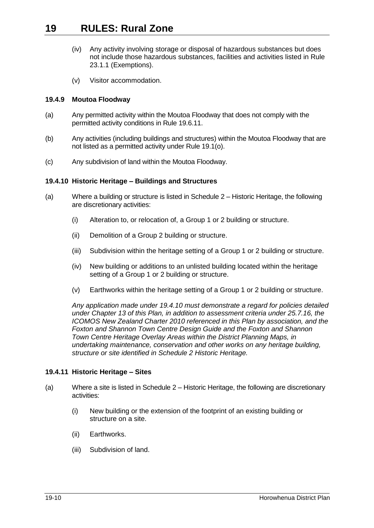- (iv) Any activity involving storage or disposal of hazardous substances but does not include those hazardous substances, facilities and activities listed in Rule 23.1.1 (Exemptions).
- (v) Visitor accommodation.

## **19.4.9 Moutoa Floodway**

- (a) Any permitted activity within the Moutoa Floodway that does not comply with the permitted activity conditions in Rule [19.6.11.](#page-17-1)
- (b) Any activities (including buildings and structures) within the Moutoa Floodway that are not listed as a permitted activity under Rule [19.1\(o\).](#page-1-1)
- (c) Any subdivision of land within the Moutoa Floodway.

## **19.4.10 Historic Heritage – Buildings and Structures**

- (a) Where a building or structure is listed in Schedule 2 Historic Heritage, the following are discretionary activities:
	- (i) Alteration to, or relocation of, a Group 1 or 2 building or structure.
	- (ii) Demolition of a Group 2 building or structure.
	- (iii) Subdivision within the heritage setting of a Group 1 or 2 building or structure.
	- (iv) New building or additions to an unlisted building located within the heritage setting of a Group 1 or 2 building or structure.
	- (v) Earthworks within the heritage setting of a Group 1 or 2 building or structure.

<span id="page-9-0"></span>*Any application made under 19.4.10 must demonstrate a regard for policies detailed under Chapter 13 of this Plan, in addition to assessment criteria under 25.7.16, the ICOMOS New Zealand Charter 2010 referenced in this Plan by association, and the Foxton and Shannon Town Centre Design Guide and the Foxton and Shannon Town Centre Heritage Overlay Areas within the District Planning Maps, in undertaking maintenance, conservation and other works on any heritage building, structure or site identified in Schedule 2 Historic Heritage.*

## **19.4.11 Historic Heritage – Sites**

- <span id="page-9-1"></span>(a) Where a site is listed in Schedule 2 – Historic Heritage, the following are discretionary activities:
	- (i) New building or the extension of the footprint of an existing building or structure on a site.
	- (ii) Earthworks.
	- (iii) Subdivision of land.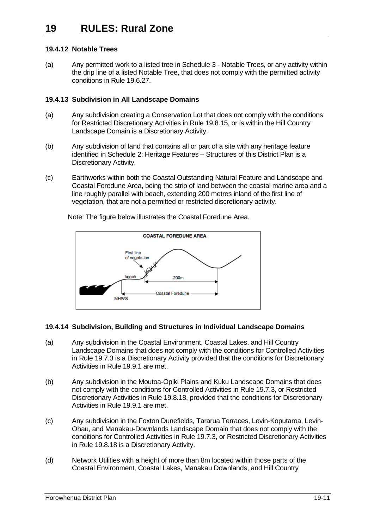## **19.4.12 Notable Trees**

(a) Any permitted work to a listed tree in Schedule 3 - Notable Trees, or any activity within the drip line of a listed Notable Tree, that does not comply with the permitted activity conditions in Rul[e 19.6.27.](#page-24-0)

## **19.4.13 Subdivision in All Landscape Domains**

- (a) Any subdivision creating a Conservation Lot that does not comply with the conditions for Restricted Discretionary Activities in Rule [19.8.15,](#page-46-1) or is within the Hill Country Landscape Domain is a Discretionary Activity.
- (b) Any subdivision of land that contains all or part of a site with any heritage feature identified in Schedule 2: Heritage Features – Structures of this District Plan is a Discretionary Activity.
- (c) Earthworks within both the Coastal Outstanding Natural Feature and Landscape and Coastal Foredune Area, being the strip of land between the coastal marine area and a line roughly parallel with beach, extending 200 metres inland of the first line of vegetation, that are not a permitted or restricted discretionary activity.



Note: The figure below illustrates the Coastal Foredune Area.

## **19.4.14 Subdivision, Building and Structures in Individual Landscape Domains**

- (a) Any subdivision in the Coastal Environment, Coastal Lakes, and Hill Country Landscape Domains that does not comply with the conditions for Controlled Activities in Rul[e 19.7.3](#page-34-0) is a Discretionary Activity provided that the conditions for Discretionary Activities in Rule [19.9.1](#page-52-0) are met.
- (b) Any subdivision in the Moutoa-Opiki Plains and Kuku Landscape Domains that does not comply with the conditions for Controlled Activities in Rule [19.7.3,](#page-34-0) or Restricted Discretionary Activities in Rule [19.8.18,](#page-48-0) provided that the conditions for Discretionary Activities in Rule [19.9.1](#page-52-0) are met.
- (c) Any subdivision in the Foxton Dunefields, Tararua Terraces, Levin-Koputaroa, Levin-Ohau, and Manakau-Downlands Landscape Domain that does not comply with the conditions for Controlled Activities in Rule [19.7.3,](#page-34-0) or Restricted Discretionary Activities in Rul[e 19.8.18](#page-48-0) is a Discretionary Activity.
- (d) Network Utilities with a height of more than 8m located within those parts of the Coastal Environment, Coastal Lakes, Manakau Downlands, and Hill Country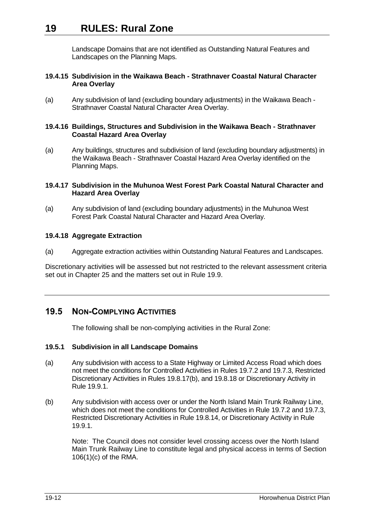Landscape Domains that are not identified as Outstanding Natural Features and Landscapes on the Planning Maps.

#### **19.4.15 Subdivision in the Waikawa Beach - Strathnaver Coastal Natural Character Area Overlay**

(a) Any subdivision of land (excluding boundary adjustments) in the Waikawa Beach - Strathnaver Coastal Natural Character Area Overlay.

#### **19.4.16 Buildings, Structures and Subdivision in the Waikawa Beach - Strathnaver Coastal Hazard Area Overlay**

(a) Any buildings, structures and subdivision of land (excluding boundary adjustments) in the Waikawa Beach - Strathnaver Coastal Hazard Area Overlay identified on the Planning Maps.

## **19.4.17 Subdivision in the Muhunoa West Forest Park Coastal Natural Character and Hazard Area Overlay**

(a) Any subdivision of land (excluding boundary adjustments) in the Muhunoa West Forest Park Coastal Natural Character and Hazard Area Overlay.

## **19.4.18 Aggregate Extraction**

(a) Aggregate extraction activities within Outstanding Natural Features and Landscapes.

Discretionary activities will be assessed but not restricted to the relevant assessment criteria set out in Chapter 25 and the matters set out in Rule [19.9.](#page-52-1)

## <span id="page-11-0"></span>**19.5 NON-COMPLYING ACTIVITIES**

The following shall be non-complying activities in the Rural Zone:

## **19.5.1 Subdivision in all Landscape Domains**

- (a) Any subdivision with access to a State Highway or Limited Access Road which does not meet the conditions for Controlled Activities in Rules [19.7.2](#page-32-0) and [19.7.3,](#page-34-0) Restricted Discretionary Activities in Rules [19.8.17\(](#page-47-0)b), and [19.8.18](#page-48-0) or Discretionary Activity in Rule [19.9.1.](#page-52-0)
- (b) Any subdivision with access over or under the North Island Main Trunk Railway Line, which does not meet the conditions for Controlled Activities in Rule [19.7.2](#page-32-0) and [19.7.3,](#page-34-0) Restricted Discretionary Activities in Rule [19.8.14,](#page-46-0) or Discretionary Activity in Rule [19.9.1.](#page-52-0)

Note: The Council does not consider level crossing access over the North Island Main Trunk Railway Line to constitute legal and physical access in terms of Section 106(1)(c) of the RMA.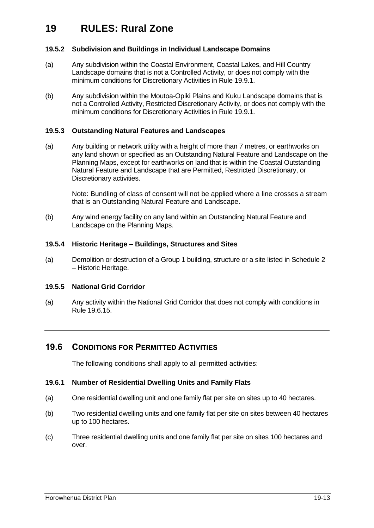## **19.5.2 Subdivision and Buildings in Individual Landscape Domains**

- (a) Any subdivision within the Coastal Environment, Coastal Lakes, and Hill Country Landscape domains that is not a Controlled Activity, or does not comply with the minimum conditions for Discretionary Activities in Rule [19.9.1.](#page-52-0)
- (b) Any subdivision within the Moutoa-Opiki Plains and Kuku Landscape domains that is not a Controlled Activity, Restricted Discretionary Activity, or does not comply with the minimum conditions for Discretionary Activities in Rule [19.9.1.](#page-52-0)

## **19.5.3 Outstanding Natural Features and Landscapes**

<span id="page-12-1"></span>(a) Any building or network utility with a height of more than 7 metres, or earthworks on any land shown or specified as an Outstanding Natural Feature and Landscape on the Planning Maps, except for earthworks on land that is within the Coastal Outstanding Natural Feature and Landscape that are Permitted, Restricted Discretionary, or Discretionary activities.

Note: Bundling of class of consent will not be applied where a line crosses a stream that is an Outstanding Natural Feature and Landscape.

(b) Any wind energy facility on any land within an Outstanding Natural Feature and Landscape on the Planning Maps.

## **19.5.4 Historic Heritage – Buildings, Structures and Sites**

(a) Demolition or destruction of a Group 1 building, structure or a site listed in Schedule 2 – Historic Heritage.

## **19.5.5 National Grid Corridor**

(a) Any activity within the National Grid Corridor that does not comply with conditions in Rule [19.6.15.](#page-19-0)

## <span id="page-12-0"></span>**19.6 CONDITIONS FOR PERMITTED ACTIVITIES**

The following conditions shall apply to all permitted activities:

## **19.6.1 Number of Residential Dwelling Units and Family Flats**

- (a) One residential dwelling unit and one family flat per site on sites up to 40 hectares.
- (b) Two residential dwelling units and one family flat per site on sites between 40 hectares up to 100 hectares.
- (c) Three residential dwelling units and one family flat per site on sites 100 hectares and over.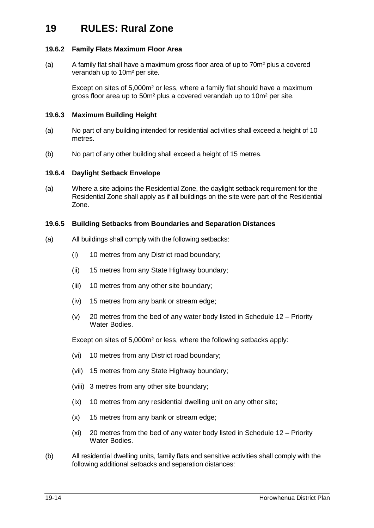## **19.6.2 Family Flats Maximum Floor Area**

(a) A family flat shall have a maximum gross floor area of up to 70m² plus a covered verandah up to 10m² per site.

> Except on sites of 5,000m² or less, where a family flat should have a maximum gross floor area up to 50m² plus a covered verandah up to 10m² per site.

## <span id="page-13-0"></span>**19.6.3 Maximum Building Height**

- (a) No part of any building intended for residential activities shall exceed a height of 10 metres.
- (b) No part of any other building shall exceed a height of 15 metres.

## **19.6.4 Daylight Setback Envelope**

(a) Where a site adjoins the Residential Zone, the daylight setback requirement for the Residential Zone shall apply as if all buildings on the site were part of the Residential Zone.

## <span id="page-13-1"></span>**19.6.5 Building Setbacks from Boundaries and Separation Distances**

- (a) All buildings shall comply with the following setbacks:
	- (i) 10 metres from any District road boundary;
	- (ii) 15 metres from any State Highway boundary;
	- (iii) 10 metres from any other site boundary;
	- (iv) 15 metres from any bank or stream edge;
	- (v) 20 metres from the bed of any water body listed in Schedule 12 Priority Water Bodies.

Except on sites of 5,000m² or less, where the following setbacks apply:

- (vi) 10 metres from any District road boundary;
- (vii) 15 metres from any State Highway boundary;
- (viii) 3 metres from any other site boundary;
- (ix) 10 metres from any residential dwelling unit on any other site;
- (x) 15 metres from any bank or stream edge;
- (xi) 20 metres from the bed of any water body listed in Schedule 12 Priority Water Bodies.
- (b) All residential dwelling units, family flats and sensitive activities shall comply with the following additional setbacks and separation distances: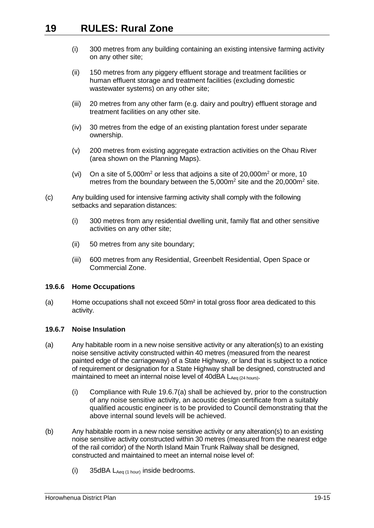- (i) 300 metres from any building containing an existing intensive farming activity on any other site;
- (ii) 150 metres from any piggery effluent storage and treatment facilities or human effluent storage and treatment facilities (excluding domestic wastewater systems) on any other site;
- (iii) 20 metres from any other farm (e.g. dairy and poultry) effluent storage and treatment facilities on any other site.
- (iv) 30 metres from the edge of an existing plantation forest under separate ownership.
- (v) 200 metres from existing aggregate extraction activities on the Ohau River (area shown on the Planning Maps).
- (vi) On a site of  $5,000m^2$  or less that adjoins a site of  $20,000m^2$  or more, 10 metres from the boundary between the 5,000m<sup>2</sup> site and the 20,000m<sup>2</sup> site.
- (c) Any building used for intensive farming activity shall comply with the following setbacks and separation distances:
	- (i) 300 metres from any residential dwelling unit, family flat and other sensitive activities on any other site;
	- (ii) 50 metres from any site boundary;
	- (iii) 600 metres from any Residential, Greenbelt Residential, Open Space or Commercial Zone.

## **19.6.6 Home Occupations**

(a) Home occupations shall not exceed 50m² in total gross floor area dedicated to this activity.

## **19.6.7 Noise Insulation**

- <span id="page-14-0"></span>(a) Any habitable room in a new noise sensitive activity or any alteration(s) to an existing noise sensitive activity constructed within 40 metres (measured from the nearest painted edge of the carriageway) of a State Highway, or land that is subject to a notice of requirement or designation for a State Highway shall be designed, constructed and maintained to meet an internal noise level of 40dBA  $L_{Aeq}$  (24 hours).
	- (i) Compliance with Rule [19.6.7\(a\)](#page-14-0) shall be achieved by, prior to the construction of any noise sensitive activity, an acoustic design certificate from a suitably qualified acoustic engineer is to be provided to Council demonstrating that the above internal sound levels will be achieved.
- <span id="page-14-1"></span>(b) Any habitable room in a new noise sensitive activity or any alteration(s) to an existing noise sensitive activity constructed within 30 metres (measured from the nearest edge of the rail corridor) of the North Island Main Trunk Railway shall be designed, constructed and maintained to meet an internal noise level of:
	- (i) 35dBA  $L_{Aeq}$  (1 hour) inside bedrooms.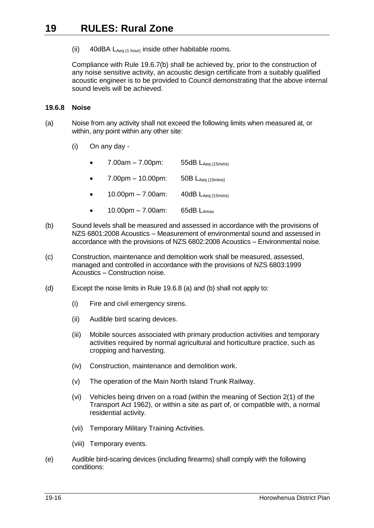(ii) 40dBA  $L_{Aeq}$  (1 hour) inside other habitable rooms.

Compliance with Rule [19.6.7\(b\)](#page-14-1) shall be achieved by, prior to the construction of any noise sensitive activity, an acoustic design certificate from a suitably qualified acoustic engineer is to be provided to Council demonstrating that the above internal sound levels will be achieved.

#### <span id="page-15-0"></span>**19.6.8 Noise**

- <span id="page-15-1"></span>(a) Noise from any activity shall not exceed the following limits when measured at, or within, any point within any other site:
	- (i) On any day
		- 7.00am  $7.00$ pm: 55dB L<sub>Aeq (15mins)</sub>
		- 7.00pm 10.00pm: 50B  $L_{Aeq (15min)}$
		- $10.00 \text{pm} 7.00 \text{am}$ :  $40 \text{dB}$   $L_{\text{Aeq (15 mins)}}$
		- $10.00 \text{pm} 7.00 \text{am}$ : 65dB  $L_{\text{Amax}}$
- (b) Sound levels shall be measured and assessed in accordance with the provisions of NZS 6801:2008 Acoustics – Measurement of environmental sound and assessed in accordance with the provisions of NZS 6802:2008 Acoustics – Environmental noise.
- (c) Construction, maintenance and demolition work shall be measured, assessed, managed and controlled in accordance with the provisions of NZS 6803:1999 Acoustics – Construction noise.
- (d) Except the noise limits in Rule [19.6.8](#page-15-0) [\(a\)](#page-15-1) and (b) shall not apply to:
	- (i) Fire and civil emergency sirens.
	- (ii) Audible bird scaring devices.
	- (iii) Mobile sources associated with primary production activities and temporary activities required by normal agricultural and horticulture practice, such as cropping and harvesting.
	- (iv) Construction, maintenance and demolition work.
	- (v) The operation of the Main North Island Trunk Railway.
	- (vi) Vehicles being driven on a road (within the meaning of Section 2(1) of the Transport Act 1962), or within a site as part of, or compatible with, a normal residential activity.
	- (vii) Temporary Military Training Activities.
	- (viii) Temporary events.
- (e) Audible bird-scaring devices (including firearms) shall comply with the following conditions: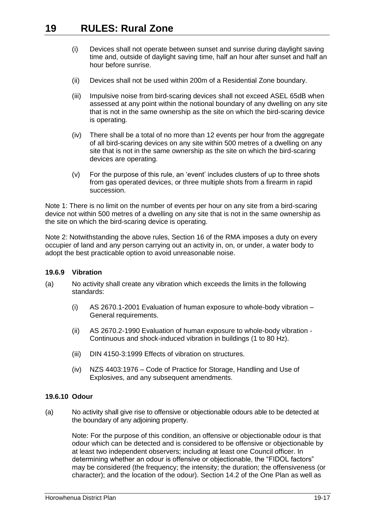- (i) Devices shall not operate between sunset and sunrise during daylight saving time and, outside of daylight saving time, half an hour after sunset and half an hour before sunrise.
- (ii) Devices shall not be used within 200m of a Residential Zone boundary.
- (iii) Impulsive noise from bird-scaring devices shall not exceed ASEL 65dB when assessed at any point within the notional boundary of any dwelling on any site that is not in the same ownership as the site on which the bird-scaring device is operating.
- (iv) There shall be a total of no more than 12 events per hour from the aggregate of all bird-scaring devices on any site within 500 metres of a dwelling on any site that is not in the same ownership as the site on which the bird-scaring devices are operating.
- (v) For the purpose of this rule, an 'event' includes clusters of up to three shots from gas operated devices, or three multiple shots from a firearm in rapid succession.

Note 1: There is no limit on the number of events per hour on any site from a bird-scaring device not within 500 metres of a dwelling on any site that is not in the same ownership as the site on which the bird-scaring device is operating.

Note 2: Notwithstanding the above rules, Section 16 of the RMA imposes a duty on every occupier of land and any person carrying out an activity in, on, or under, a water body to adopt the best practicable option to avoid unreasonable noise.

## **19.6.9 Vibration**

- (a) No activity shall create any vibration which exceeds the limits in the following standards:
	- (i) AS 2670.1-2001 Evaluation of human exposure to whole-body vibration General requirements.
	- (ii) AS 2670.2-1990 Evaluation of human exposure to whole-body vibration Continuous and shock-induced vibration in buildings (1 to 80 Hz).
	- (iii) DIN 4150-3:1999 Effects of vibration on structures.
	- (iv) NZS 4403:1976 Code of Practice for Storage, Handling and Use of Explosives, and any subsequent amendments.

## **19.6.10 Odour**

(a) No activity shall give rise to offensive or objectionable odours able to be detected at the boundary of any adjoining property.

Note: For the purpose of this condition, an offensive or objectionable odour is that odour which can be detected and is considered to be offensive or objectionable by at least two independent observers; including at least one Council officer. In determining whether an odour is offensive or objectionable, the "FIDOL factors" may be considered (the frequency; the intensity; the duration; the offensiveness (or character); and the location of the odour). Section 14.2 of the One Plan as well as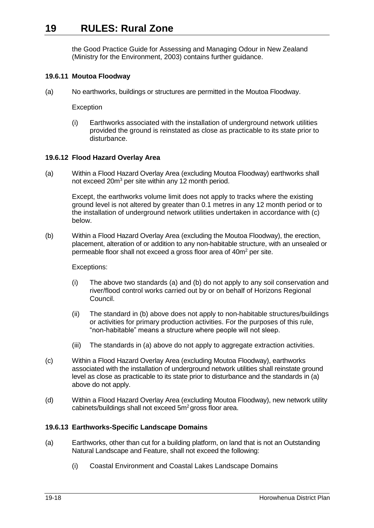the Good Practice Guide for Assessing and Managing Odour in New Zealand (Ministry for the Environment, 2003) contains further guidance.

## <span id="page-17-1"></span>**19.6.11 Moutoa Floodway**

(a) No earthworks, buildings or structures are permitted in the Moutoa Floodway.

**Exception** 

(i) Earthworks associated with the installation of underground network utilities provided the ground is reinstated as close as practicable to its state prior to disturbance.

#### <span id="page-17-0"></span>**19.6.12 Flood Hazard Overlay Area**

(a) Within a Flood Hazard Overlay Area (excluding Moutoa Floodway) earthworks shall not exceed 20m<sup>3</sup> per site within any 12 month period.

Except, the earthworks volume limit does not apply to tracks where the existing ground level is not altered by greater than 0.1 metres in any 12 month period or to the installation of underground network utilities undertaken in accordance with (c) below.

(b) Within a Flood Hazard Overlay Area (excluding the Moutoa Floodway), the erection, placement, alteration of or addition to any non-habitable structure, with an unsealed or permeable floor shall not exceed a gross floor area of 40m<sup>2</sup> per site.

Exceptions:

- (i) The above two standards (a) and (b) do not apply to any soil conservation and river/flood control works carried out by or on behalf of Horizons Regional Council.
- (ii) The standard in (b) above does not apply to non-habitable structures/buildings or activities for primary production activities. For the purposes of this rule, "non-habitable" means a structure where people will not sleep.
- (iii) The standards in (a) above do not apply to aggregate extraction activities.
- (c) Within a Flood Hazard Overlay Area (excluding Moutoa Floodway), earthworks associated with the installation of underground network utilities shall reinstate ground level as close as practicable to its state prior to disturbance and the standards in (a) above do not apply.
- (d) Within a Flood Hazard Overlay Area (excluding Moutoa Floodway), new network utility cabinets/buildings shall not exceed 5m<sup>2</sup> gross floor area.

## <span id="page-17-2"></span>**19.6.13 Earthworks-Specific Landscape Domains**

- (a) Earthworks, other than cut for a building platform, on land that is not an Outstanding Natural Landscape and Feature, shall not exceed the following:
	- (i) Coastal Environment and Coastal Lakes Landscape Domains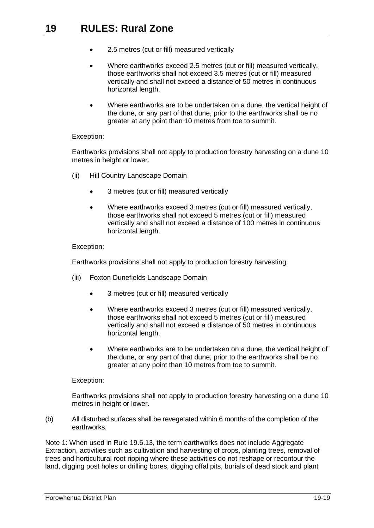- 2.5 metres (cut or fill) measured vertically
- Where earthworks exceed 2.5 metres (cut or fill) measured vertically, those earthworks shall not exceed 3.5 metres (cut or fill) measured vertically and shall not exceed a distance of 50 metres in continuous horizontal length.
- Where earthworks are to be undertaken on a dune, the vertical height of the dune, or any part of that dune, prior to the earthworks shall be no greater at any point than 10 metres from toe to summit.

#### Exception:

Earthworks provisions shall not apply to production forestry harvesting on a dune 10 metres in height or lower.

- (ii) Hill Country Landscape Domain
	- 3 metres (cut or fill) measured vertically
	- Where earthworks exceed 3 metres (cut or fill) measured vertically, those earthworks shall not exceed 5 metres (cut or fill) measured vertically and shall not exceed a distance of 100 metres in continuous horizontal length.

#### Exception:

Earthworks provisions shall not apply to production forestry harvesting.

- (iii) Foxton Dunefields Landscape Domain
	- 3 metres (cut or fill) measured vertically
	- Where earthworks exceed 3 metres (cut or fill) measured vertically, those earthworks shall not exceed 5 metres (cut or fill) measured vertically and shall not exceed a distance of 50 metres in continuous horizontal length.
	- Where earthworks are to be undertaken on a dune, the vertical height of the dune, or any part of that dune, prior to the earthworks shall be no greater at any point than 10 metres from toe to summit.

## Exception:

Earthworks provisions shall not apply to production forestry harvesting on a dune 10 metres in height or lower.

(b) All disturbed surfaces shall be revegetated within 6 months of the completion of the earthworks.

Note 1: When used in Rule [19.6.13,](#page-17-2) the term earthworks does not include Aggregate Extraction, activities such as cultivation and harvesting of crops, planting trees, removal of trees and horticultural root ripping where these activities do not reshape or recontour the land, digging post holes or drilling bores, digging offal pits, burials of dead stock and plant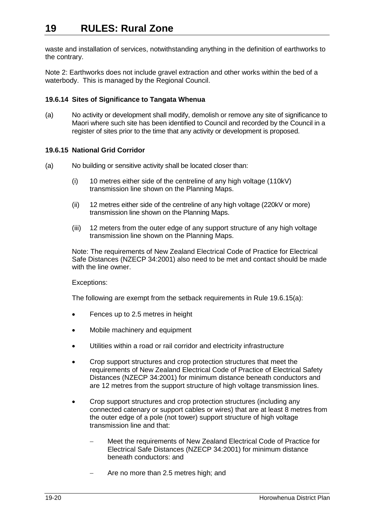waste and installation of services, notwithstanding anything in the definition of earthworks to the contrary.

Note 2: Earthworks does not include gravel extraction and other works within the bed of a waterbody. This is managed by the Regional Council.

## **19.6.14 Sites of Significance to Tangata Whenua**

(a) No activity or development shall modify, demolish or remove any site of significance to Maori where such site has been identified to Council and recorded by the Council in a register of sites prior to the time that any activity or development is proposed.

#### <span id="page-19-0"></span>**19.6.15 National Grid Corridor**

- (a) No building or sensitive activity shall be located closer than:
	- (i) 10 metres either side of the centreline of any high voltage (110kV) transmission line shown on the Planning Maps.
	- (ii) 12 metres either side of the centreline of any high voltage (220kV or more) transmission line shown on the Planning Maps.
	- (iii) 12 meters from the outer edge of any support structure of any high voltage transmission line shown on the Planning Maps.

Note: The requirements of New Zealand Electrical Code of Practice for Electrical Safe Distances (NZECP 34:2001) also need to be met and contact should be made with the line owner.

Exceptions:

The following are exempt from the setback requirements in Rule [19.6.15\(a\):](#page-19-0)

- Fences up to 2.5 metres in height
- Mobile machinery and equipment
- Utilities within a road or rail corridor and electricity infrastructure
- Crop support structures and crop protection structures that meet the requirements of New Zealand Electrical Code of Practice of Electrical Safety Distances (NZECP 34:2001) for minimum distance beneath conductors and are 12 metres from the support structure of high voltage transmission lines.
- Crop support structures and crop protection structures (including any connected catenary or support cables or wires) that are at least 8 metres from the outer edge of a pole (not tower) support structure of high voltage transmission line and that:
	- Meet the requirements of New Zealand Electrical Code of Practice for Electrical Safe Distances (NZECP 34:2001) for minimum distance beneath conductors: and
	- Are no more than 2.5 metres high; and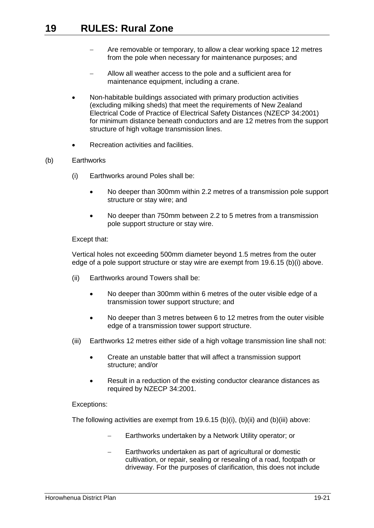- Are removable or temporary, to allow a clear working space 12 metres from the pole when necessary for maintenance purposes; and
- Allow all weather access to the pole and a sufficient area for maintenance equipment, including a crane.
- Non-habitable buildings associated with primary production activities (excluding milking sheds) that meet the requirements of New Zealand Electrical Code of Practice of Electrical Safety Distances (NZECP 34:2001) for minimum distance beneath conductors and are 12 metres from the support structure of high voltage transmission lines.
- Recreation activities and facilities.

#### (b) Earthworks

- (i) Earthworks around Poles shall be:
	- No deeper than 300mm within 2.2 metres of a transmission pole support structure or stay wire; and
	- No deeper than 750mm between 2.2 to 5 metres from a transmission pole support structure or stay wire.

#### Except that:

Vertical holes not exceeding 500mm diameter beyond 1.5 metres from the outer edge of a pole support structure or stay wire are exempt from [19.6.15](#page-19-0) (b)(i) above.

- (ii) Earthworks around Towers shall be:
	- No deeper than 300mm within 6 metres of the outer visible edge of a transmission tower support structure; and
	- No deeper than 3 metres between 6 to 12 metres from the outer visible edge of a transmission tower support structure.
- (iii) Earthworks 12 metres either side of a high voltage transmission line shall not:
	- Create an unstable batter that will affect a transmission support structure; and/or
	- Result in a reduction of the existing conductor clearance distances as required by NZECP 34:2001.

## Exceptions:

The following activities are exempt from [19.6.15](#page-19-0) (b)(i), (b)(ii) and (b)(iii) above:

- Earthworks undertaken by a Network Utility operator; or
- Earthworks undertaken as part of agricultural or domestic cultivation, or repair, sealing or resealing of a road, footpath or driveway. For the purposes of clarification, this does not include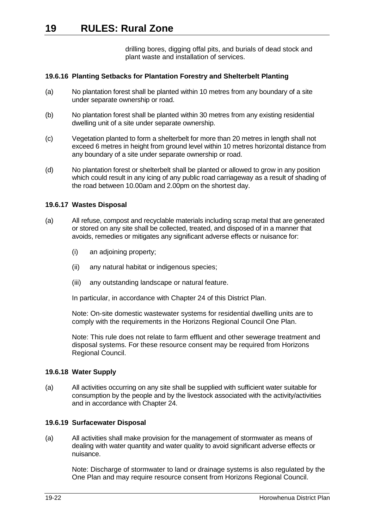drilling bores, digging offal pits, and burials of dead stock and plant waste and installation of services.

## **19.6.16 Planting Setbacks for Plantation Forestry and Shelterbelt Planting**

- (a) No plantation forest shall be planted within 10 metres from any boundary of a site under separate ownership or road.
- (b) No plantation forest shall be planted within 30 metres from any existing residential dwelling unit of a site under separate ownership.
- (c) Vegetation planted to form a shelterbelt for more than 20 metres in length shall not exceed 6 metres in height from ground level within 10 metres horizontal distance from any boundary of a site under separate ownership or road.
- (d) No plantation forest or shelterbelt shall be planted or allowed to grow in any position which could result in any icing of any public road carriageway as a result of shading of the road between 10.00am and 2.00pm on the shortest day.

#### **19.6.17 Wastes Disposal**

- (a) All refuse, compost and recyclable materials including scrap metal that are generated or stored on any site shall be collected, treated, and disposed of in a manner that avoids, remedies or mitigates any significant adverse effects or nuisance for:
	- (i) an adjoining property;
	- (ii) any natural habitat or indigenous species;
	- (iii) any outstanding landscape or natural feature.

In particular, in accordance with Chapter 24 of this District Plan.

Note: On-site domestic wastewater systems for residential dwelling units are to comply with the requirements in the Horizons Regional Council One Plan.

Note: This rule does not relate to farm effluent and other sewerage treatment and disposal systems. For these resource consent may be required from Horizons Regional Council.

#### **19.6.18 Water Supply**

(a) All activities occurring on any site shall be supplied with sufficient water suitable for consumption by the people and by the livestock associated with the activity/activities and in accordance with Chapter 24.

#### **19.6.19 Surfacewater Disposal**

(a) All activities shall make provision for the management of stormwater as means of dealing with water quantity and water quality to avoid significant adverse effects or nuisance.

Note: Discharge of stormwater to land or drainage systems is also regulated by the One Plan and may require resource consent from Horizons Regional Council.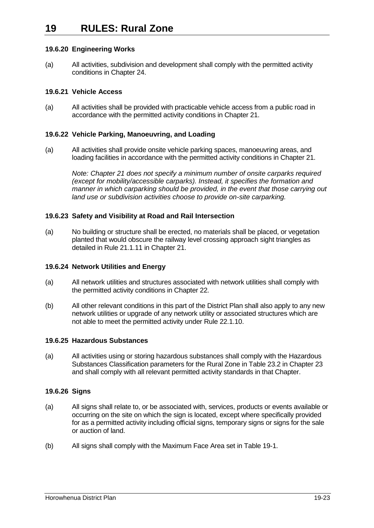## **19.6.20 Engineering Works**

(a) All activities, subdivision and development shall comply with the permitted activity conditions in Chapter 24.

## **19.6.21 Vehicle Access**

(a) All activities shall be provided with practicable vehicle access from a public road in accordance with the permitted activity conditions in Chapter 21.

## **19.6.22 Vehicle Parking, Manoeuvring, and Loading**

(a) All activities shall provide onsite vehicle parking spaces, manoeuvring areas, and loading facilities in accordance with the permitted activity conditions in Chapter 21.

> *Note: Chapter 21 does not specify a minimum number of onsite carparks required (except for mobility/accessible carparks). Instead, it specifies the formation and manner in which carparking should be provided, in the event that those carrying out land use or subdivision activities choose to provide on-site carparking.*

## **19.6.23 Safety and Visibility at Road and Rail Intersection**

(a) No building or structure shall be erected, no materials shall be placed, or vegetation planted that would obscure the railway level crossing approach sight triangles as detailed in Rule 21.1.11 in Chapter 21.

## **19.6.24 Network Utilities and Energy**

- (a) All network utilities and structures associated with network utilities shall comply with the permitted activity conditions in Chapter 22.
- (b) All other relevant conditions in this part of the District Plan shall also apply to any new network utilities or upgrade of any network utility or associated structures which are not able to meet the permitted activity under Rule 22.1.10.

## **19.6.25 Hazardous Substances**

(a) All activities using or storing hazardous substances shall comply with the Hazardous Substances Classification parameters for the Rural Zone in Table 23.2 in Chapter 23 and shall comply with all relevant permitted activity standards in that Chapter.

## **19.6.26 Signs**

- (a) All signs shall relate to, or be associated with, services, products or events available or occurring on the site on which the sign is located, except where specifically provided for as a permitted activity including official signs, temporary signs or signs for the sale or auction of land.
- (b) All signs shall comply with the Maximum Face Area set in [Table 19-1.](#page-23-0)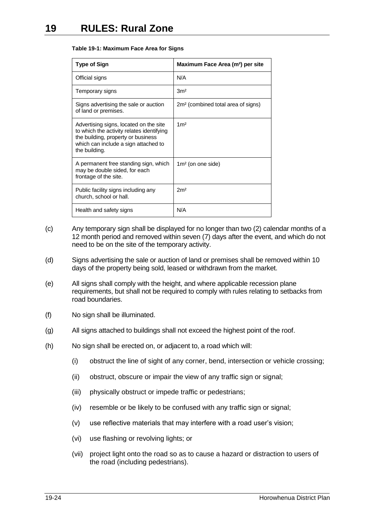#### <span id="page-23-0"></span>**Table 19-1: Maximum Face Area for Signs**

| <b>Type of Sign</b>                                                                                                                                                                | Maximum Face Area (m <sup>2</sup> ) per site   |
|------------------------------------------------------------------------------------------------------------------------------------------------------------------------------------|------------------------------------------------|
| Official signs                                                                                                                                                                     | N/A                                            |
| Temporary signs                                                                                                                                                                    | 3 <sup>m²</sup>                                |
| Signs advertising the sale or auction<br>of land or premises.                                                                                                                      | 2m <sup>2</sup> (combined total area of signs) |
| Advertising signs, located on the site<br>to which the activity relates identifying<br>the building, property or business<br>which can include a sign attached to<br>the building. | 1 <sup>m²</sup>                                |
| A permanent free standing sign, which<br>may be double sided, for each<br>frontage of the site.                                                                                    | $1m2$ (on one side)                            |
| Public facility signs including any<br>church, school or hall.                                                                                                                     | 2m <sup>2</sup>                                |
| Health and safety signs                                                                                                                                                            | N/A                                            |

- (c) Any temporary sign shall be displayed for no longer than two (2) calendar months of a 12 month period and removed within seven (7) days after the event, and which do not need to be on the site of the temporary activity.
- (d) Signs advertising the sale or auction of land or premises shall be removed within 10 days of the property being sold, leased or withdrawn from the market.
- (e) All signs shall comply with the height, and where applicable recession plane requirements, but shall not be required to comply with rules relating to setbacks from road boundaries.
- (f) No sign shall be illuminated.
- (g) All signs attached to buildings shall not exceed the highest point of the roof.
- (h) No sign shall be erected on, or adjacent to, a road which will:
	- (i) obstruct the line of sight of any corner, bend, intersection or vehicle crossing;
	- (ii) obstruct, obscure or impair the view of any traffic sign or signal;
	- (iii) physically obstruct or impede traffic or pedestrians;
	- (iv) resemble or be likely to be confused with any traffic sign or signal;
	- (v) use reflective materials that may interfere with a road user's vision;
	- (vi) use flashing or revolving lights; or
	- (vii) project light onto the road so as to cause a hazard or distraction to users of the road (including pedestrians).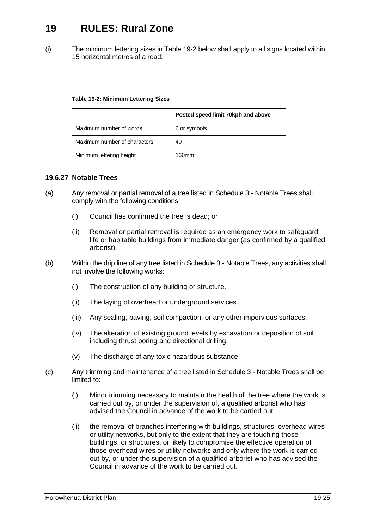(i) The minimum lettering sizes in [Table 19-2](#page-24-1) below shall apply to all signs located within 15 horizontal metres of a road:

#### <span id="page-24-1"></span>**Table 19-2: Minimum Lettering Sizes**

|                              | Posted speed limit 70kph and above |
|------------------------------|------------------------------------|
| Maximum number of words      | 6 or symbols                       |
| Maximum number of characters | 40                                 |
| Minimum lettering height     | 160mm                              |

## <span id="page-24-0"></span>**19.6.27 Notable Trees**

- (a) Any removal or partial removal of a tree listed in Schedule 3 Notable Trees shall comply with the following conditions:
	- (i) Council has confirmed the tree is dead; or
	- (ii) Removal or partial removal is required as an emergency work to safeguard life or habitable buildings from immediate danger (as confirmed by a qualified arborist).
- (b) Within the drip line of any tree listed in Schedule 3 Notable Trees, any activities shall not involve the following works:
	- (i) The construction of any building or structure.
	- (ii) The laying of overhead or underground services.
	- (iii) Any sealing, paving, soil compaction, or any other impervious surfaces.
	- (iv) The alteration of existing ground levels by excavation or deposition of soil including thrust boring and directional drilling.
	- (v) The discharge of any toxic hazardous substance.
- (c) Any trimming and maintenance of a tree listed in Schedule 3 Notable Trees shall be limited to:
	- (i) Minor trimming necessary to maintain the health of the tree where the work is carried out by, or under the supervision of, a qualified arborist who has advised the Council in advance of the work to be carried out.
	- (ii) the removal of branches interfering with buildings, structures, overhead wires or utility networks, but only to the extent that they are touching those buildings, or structures, or likely to compromise the effective operation of those overhead wires or utility networks and only where the work is carried out by, or under the supervision of a qualified arborist who has advised the Council in advance of the work to be carried out.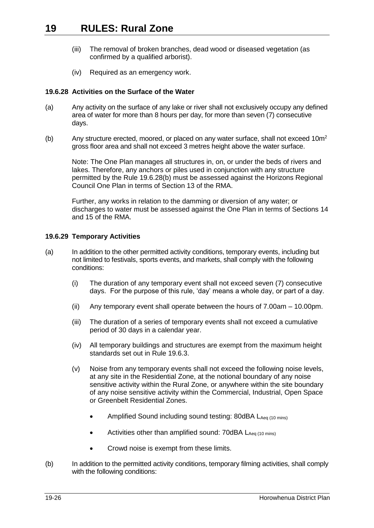- (iii) The removal of broken branches, dead wood or diseased vegetation (as confirmed by a qualified arborist).
- (iv) Required as an emergency work.

## <span id="page-25-0"></span>**19.6.28 Activities on the Surface of the Water**

- (a) Any activity on the surface of any lake or river shall not exclusively occupy any defined area of water for more than 8 hours per day, for more than seven (7) consecutive days.
- (b) Any structure erected, moored, or placed on any water surface, shall not exceed  $10m^2$ gross floor area and shall not exceed 3 metres height above the water surface.

Note: The One Plan manages all structures in, on, or under the beds of rivers and lakes. Therefore, any anchors or piles used in conjunction with any structure permitted by the Rule [19.6.28\(](#page-25-0)b) must be assessed against the Horizons Regional Council One Plan in terms of Section 13 of the RMA.

Further, any works in relation to the damming or diversion of any water; or discharges to water must be assessed against the One Plan in terms of Sections 14 and 15 of the RMA.

## **19.6.29 Temporary Activities**

- (a) In addition to the other permitted activity conditions, temporary events, including but not limited to festivals, sports events, and markets, shall comply with the following conditions:
	- (i) The duration of any temporary event shall not exceed seven (7) consecutive days. For the purpose of this rule, 'day' means a whole day, or part of a day.
	- (ii) Any temporary event shall operate between the hours of 7.00am 10.00pm.
	- (iii) The duration of a series of temporary events shall not exceed a cumulative period of 30 days in a calendar year.
	- (iv) All temporary buildings and structures are exempt from the maximum height standards set out in Rule [19.6.3.](#page-13-0)
	- (v) Noise from any temporary events shall not exceed the following noise levels, at any site in the Residential Zone, at the notional boundary of any noise sensitive activity within the Rural Zone, or anywhere within the site boundary of any noise sensitive activity within the Commercial, Industrial, Open Space or Greenbelt Residential Zones.
		- Amplified Sound including sound testing: 80dBA LAeq (10 mins)
		- Activities other than amplified sound:  $70$ dBA  $L_{Aea(10 min)}$
		- Crowd noise is exempt from these limits.
- (b) In addition to the permitted activity conditions, temporary filming activities, shall comply with the following conditions: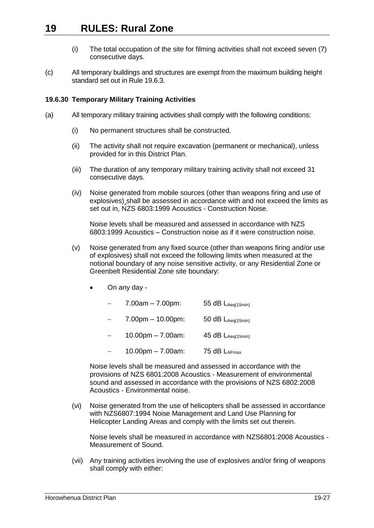- (i) The total occupation of the site for filming activities shall not exceed seven (7) consecutive days.
- <span id="page-26-0"></span>(c) All temporary buildings and structures are exempt from the maximum building height standard set out in Rule [19.6.3.](#page-13-0)

#### <span id="page-26-1"></span>**19.6.30 Temporary Military Training Activities**

- (a) All temporary military training activities shall comply with the following conditions:
	- (i) No permanent structures shall be constructed.
	- (ii) The activity shall not require excavation (permanent or mechanical), unless provided for in this District Plan.
	- (iii) The duration of any temporary military training activity shall not exceed 31 consecutive days.
	- (iv) Noise generated from mobile sources (other than weapons firing and use of explosives) shall be assessed in accordance with and not exceed the limits as set out in, NZS 6803:1999 Acoustics - Construction Noise.

Noise levels shall be measured and assessed in accordance with NZS 6803:1999 Acoustics – Construction noise as if it were construction noise.

- (v) Noise generated from any fixed source (other than weapons firing and/or use of explosives) shall not exceed the following limits when measured at the notional boundary of any noise sensitive activity, or any Residential Zone or Greenbelt Residential Zone site boundary:
	- On any day
		- 7.00am 7.00pm: 55 dB  $L_{Aeq(15min)}$
		- 7.00pm 10.00pm: 50 dB  $L_{Aeq(15min)}$
		- 10.00pm 7.00am: 45 dB  $L_{Aeq(15min)}$
		- $-$  10.00pm 7.00am: 75 dB LAFmax

Noise levels shall be measured and assessed in accordance with the provisions of NZS 6801:2008 Acoustics - Measurement of environmental sound and assessed in accordance with the provisions of NZS 6802:2008 Acoustics - Environmental noise.

(vi) Noise generated from the use of helicopters shall be assessed in accordance with NZS6807:1994 Noise Management and Land Use Planning for Helicopter Landing Areas and comply with the limits set out therein.

Noise levels shall be measured in accordance with NZS6801:2008 Acoustics - Measurement of Sound.

(vii) Any training activities involving the use of explosives and/or firing of weapons shall comply with either: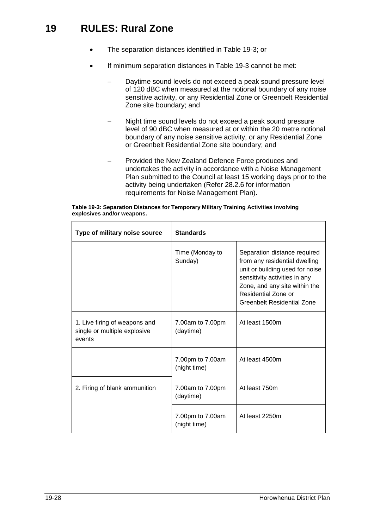- The separation distances identified in Table 19-3; or
- If minimum separation distances in Table 19-3 cannot be met:
	- Daytime sound levels do not exceed a peak sound pressure level of 120 dBC when measured at the notional boundary of any noise sensitive activity, or any Residential Zone or Greenbelt Residential Zone site boundary; and
	- Night time sound levels do not exceed a peak sound pressure level of 90 dBC when measured at or within the 20 metre notional boundary of any noise sensitive activity, or any Residential Zone or Greenbelt Residential Zone site boundary; and
	- Provided the New Zealand Defence Force produces and undertakes the activity in accordance with a Noise Management Plan submitted to the Council at least 15 working days prior to the activity being undertaken (Refer 28.2.6 for information requirements for Noise Management Plan).

|                            | Table 19-3: Separation Distances for Temporary Military Training Activities involving |
|----------------------------|---------------------------------------------------------------------------------------|
| explosives and/or weapons. |                                                                                       |

| Type of military noise source                                           | <b>Standards</b>                 |                                                                                                                                                                                                                                |  |  |  |  |  |
|-------------------------------------------------------------------------|----------------------------------|--------------------------------------------------------------------------------------------------------------------------------------------------------------------------------------------------------------------------------|--|--|--|--|--|
|                                                                         | Time (Monday to<br>Sunday)       | Separation distance required<br>from any residential dwelling<br>unit or building used for noise<br>sensitivity activities in any<br>Zone, and any site within the<br>Residential Zone or<br><b>Greenbelt Residential Zone</b> |  |  |  |  |  |
| 1. Live firing of weapons and<br>single or multiple explosive<br>events | 7.00am to 7.00pm<br>(daytime)    | At least 1500m                                                                                                                                                                                                                 |  |  |  |  |  |
|                                                                         | 7.00pm to 7.00am<br>(night time) | At least 4500m                                                                                                                                                                                                                 |  |  |  |  |  |
| 2. Firing of blank ammunition                                           | 7.00am to 7.00pm<br>(daytime)    | At least 750m                                                                                                                                                                                                                  |  |  |  |  |  |
|                                                                         | 7.00pm to 7.00am<br>(night time) | At least 2250m                                                                                                                                                                                                                 |  |  |  |  |  |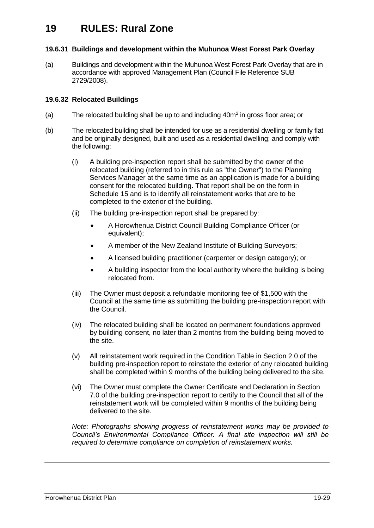## **19.6.31 Buildings and development within the Muhunoa West Forest Park Overlay**

(a) Buildings and development within the Muhunoa West Forest Park Overlay that are in accordance with approved Management Plan (Council File Reference SUB 2729/2008).

## **19.6.32 Relocated Buildings**

- (a) The relocated building shall be up to and including 40m<sup>2</sup> in gross floor area; or
- (b) The relocated building shall be intended for use as a residential dwelling or family flat and be originally designed, built and used as a residential dwelling; and comply with the following:
	- (i) A building pre-inspection report shall be submitted by the owner of the relocated building (referred to in this rule as "the Owner") to the Planning Services Manager at the same time as an application is made for a building consent for the relocated building. That report shall be on the form in Schedule 15 and is to identify all reinstatement works that are to be completed to the exterior of the building.
	- (ii) The building pre-inspection report shall be prepared by:
		- A Horowhenua District Council Building Compliance Officer (or equivalent);
		- A member of the New Zealand Institute of Building Surveyors;
		- A licensed building practitioner (carpenter or design category); or
		- A building inspector from the local authority where the building is being relocated from.
	- (iii) The Owner must deposit a refundable monitoring fee of \$1,500 with the Council at the same time as submitting the building pre-inspection report with the Council.
	- (iv) The relocated building shall be located on permanent foundations approved by building consent, no later than 2 months from the building being moved to the site.
	- (v) All reinstatement work required in the Condition Table in Section 2.0 of the building pre-inspection report to reinstate the exterior of any relocated building shall be completed within 9 months of the building being delivered to the site.
	- (vi) The Owner must complete the Owner Certificate and Declaration in Section 7.0 of the building pre-inspection report to certify to the Council that all of the reinstatement work will be completed within 9 months of the building being delivered to the site.

*Note: Photographs showing progress of reinstatement works may be provided to Council's Environmental Compliance Officer. A final site inspection will still be required to determine compliance on completion of reinstatement works.*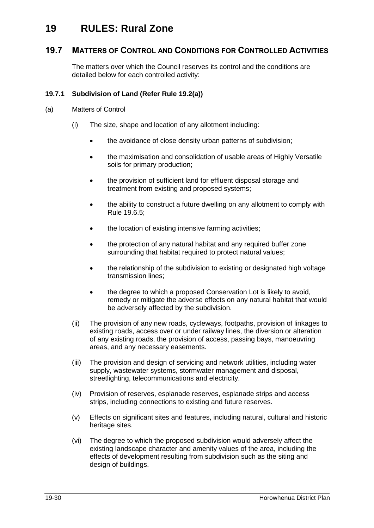## <span id="page-29-0"></span>**19.7 MATTERS OF CONTROL AND CONDITIONS FOR CONTROLLED ACTIVITIES**

The matters over which the Council reserves its control and the conditions are detailed below for each controlled activity:

## <span id="page-29-1"></span>**19.7.1 Subdivision of Land (Refer Rule [19.2\(a\)\)](#page-4-1)**

- (a) Matters of Control
	- (i) The size, shape and location of any allotment including:
		- the avoidance of close density urban patterns of subdivision;
		- the maximisation and consolidation of usable areas of Highly Versatile soils for primary production;
		- the provision of sufficient land for effluent disposal storage and treatment from existing and proposed systems;
		- the ability to construct a future dwelling on any allotment to comply with Rule [19.6.5;](#page-13-1)
		- the location of existing intensive farming activities;
		- the protection of any natural habitat and any required buffer zone surrounding that habitat required to protect natural values;
		- the relationship of the subdivision to existing or designated high voltage transmission lines;
		- the degree to which a proposed Conservation Lot is likely to avoid, remedy or mitigate the adverse effects on any natural habitat that would be adversely affected by the subdivision.
	- (ii) The provision of any new roads, cycleways, footpaths, provision of linkages to existing roads, access over or under railway lines, the diversion or alteration of any existing roads, the provision of access, passing bays, manoeuvring areas, and any necessary easements.
	- (iii) The provision and design of servicing and network utilities, including water supply, wastewater systems, stormwater management and disposal, streetlighting, telecommunications and electricity.
	- (iv) Provision of reserves, esplanade reserves, esplanade strips and access strips, including connections to existing and future reserves.
	- (v) Effects on significant sites and features, including natural, cultural and historic heritage sites.
	- (vi) The degree to which the proposed subdivision would adversely affect the existing landscape character and amenity values of the area, including the effects of development resulting from subdivision such as the siting and design of buildings.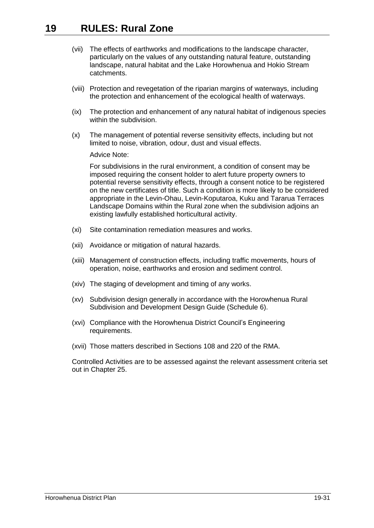- (vii) The effects of earthworks and modifications to the landscape character, particularly on the values of any outstanding natural feature, outstanding landscape, natural habitat and the Lake Horowhenua and Hokio Stream catchments.
- (viii) Protection and revegetation of the riparian margins of waterways, including the protection and enhancement of the ecological health of waterways.
- (ix) The protection and enhancement of any natural habitat of indigenous species within the subdivision.
- (x) The management of potential reverse sensitivity effects, including but not limited to noise, vibration, odour, dust and visual effects.

Advice Note:

For subdivisions in the rural environment, a condition of consent may be imposed requiring the consent holder to alert future property owners to potential reverse sensitivity effects, through a consent notice to be registered on the new certificates of title. Such a condition is more likely to be considered appropriate in the Levin-Ohau, Levin-Koputaroa, Kuku and Tararua Terraces Landscape Domains within the Rural zone when the subdivision adjoins an existing lawfully established horticultural activity.

- (xi) Site contamination remediation measures and works.
- (xii) Avoidance or mitigation of natural hazards.
- (xiii) Management of construction effects, including traffic movements, hours of operation, noise, earthworks and erosion and sediment control.
- (xiv) The staging of development and timing of any works.
- (xv) Subdivision design generally in accordance with the Horowhenua Rural Subdivision and Development Design Guide (Schedule 6).
- (xvi) Compliance with the Horowhenua District Council's Engineering requirements.
- (xvii) Those matters described in Sections 108 and 220 of the RMA.

Controlled Activities are to be assessed against the relevant assessment criteria set out in Chapter 25.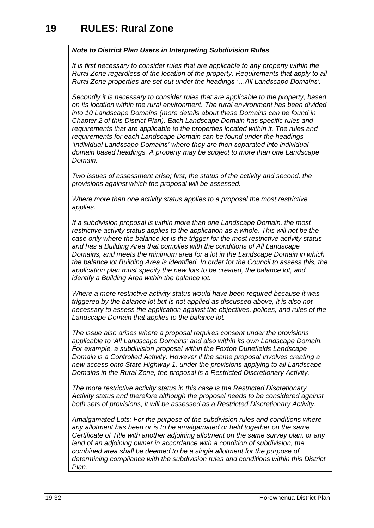## *Note to District Plan Users in Interpreting Subdivision Rules*

*It is first necessary to consider rules that are applicable to any property within the Rural Zone regardless of the location of the property. Requirements that apply to all Rural Zone properties are set out under the headings '…All Landscape Domains'.*

*Secondly it is necessary to consider rules that are applicable to the property, based on its location within the rural environment. The rural environment has been divided into 10 Landscape Domains (more details about these Domains can be found in Chapter 2 of this District Plan). Each Landscape Domain has specific rules and requirements that are applicable to the properties located within it. The rules and requirements for each Landscape Domain can be found under the headings 'Individual Landscape Domains' where they are then separated into individual domain based headings. A property may be subject to more than one Landscape Domain.* 

*Two issues of assessment arise; first, the status of the activity and second, the provisions against which the proposal will be assessed.* 

*Where more than one activity status applies to a proposal the most restrictive applies.* 

*If a subdivision proposal is within more than one Landscape Domain, the most restrictive activity status applies to the application as a whole. This will not be the case only where the balance lot is the trigger for the most restrictive activity status and has a Building Area that complies with the conditions of All Landscape Domains, and meets the minimum area for a lot in the Landscape Domain in which the balance lot Building Area is identified. In order for the Council to assess this, the application plan must specify the new lots to be created, the balance lot, and identify a Building Area within the balance lot.* 

*Where a more restrictive activity status would have been required because it was triggered by the balance lot but is not applied as discussed above, it is also not necessary to assess the application against the objectives, polices, and rules of the Landscape Domain that applies to the balance lot.* 

*The issue also arises where a proposal requires consent under the provisions applicable to 'All Landscape Domains' and also within its own Landscape Domain. For example, a subdivision proposal within the Foxton Dunefields Landscape Domain is a Controlled Activity. However if the same proposal involves creating a new access onto State Highway 1, under the provisions applying to all Landscape Domains in the Rural Zone, the proposal is a Restricted Discretionary Activity.* 

*The more restrictive activity status in this case is the Restricted Discretionary Activity status and therefore although the proposal needs to be considered against both sets of provisions, it will be assessed as a Restricted Discretionary Activity.* 

*Amalgamated Lots: For the purpose of the subdivision rules and conditions where any allotment has been or is to be amalgamated or held together on the same Certificate of Title with another adjoining allotment on the same survey plan, or any land of an adjoining owner in accordance with a condition of subdivision, the combined area shall be deemed to be a single allotment for the purpose of determining compliance with the subdivision rules and conditions within this District Plan.*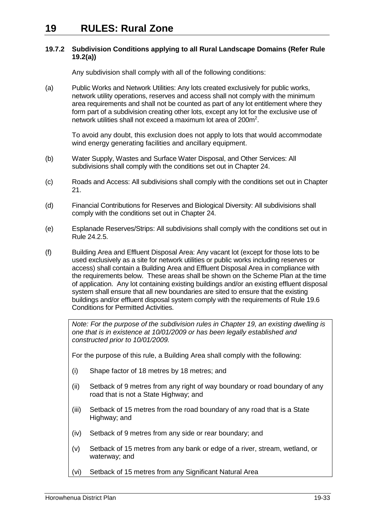#### <span id="page-32-0"></span>**19.7.2 Subdivision Conditions applying to all Rural Landscape Domains (Refer Rule [19.2\(a\)\)](#page-4-1)**

Any subdivision shall comply with all of the following conditions:

(a) Public Works and Network Utilities: Any lots created exclusively for public works, network utility operations, reserves and access shall not comply with the minimum area requirements and shall not be counted as part of any lot entitlement where they form part of a subdivision creating other lots, except any lot for the exclusive use of network utilities shall not exceed a maximum lot area of 200m<sup>2</sup>.

To avoid any doubt, this exclusion does not apply to lots that would accommodate wind energy generating facilities and ancillary equipment.

- (b) Water Supply, Wastes and Surface Water Disposal, and Other Services: All subdivisions shall comply with the conditions set out in Chapter 24.
- (c) Roads and Access: All subdivisions shall comply with the conditions set out in Chapter 21.
- (d) Financial Contributions for Reserves and Biological Diversity: All subdivisions shall comply with the conditions set out in Chapter 24.
- (e) Esplanade Reserves/Strips: All subdivisions shall comply with the conditions set out in Rule 24.2.5.
- (f) Building Area and Effluent Disposal Area: Any vacant lot (except for those lots to be used exclusively as a site for network utilities or public works including reserves or access) shall contain a Building Area and Effluent Disposal Area in compliance with the requirements below. These areas shall be shown on the Scheme Plan at the time of application. Any lot containing existing buildings and/or an existing effluent disposal system shall ensure that all new boundaries are sited to ensure that the existing buildings and/or effluent disposal system comply with the requirements of Rule [19.6](#page-12-0) Conditions for Permitted Activities.

*Note: For the purpose of the subdivision rules in Chapter 19, an existing dwelling is one that is in existence at 10/01/2009 or has been legally established and constructed prior to 10/01/2009.*

For the purpose of this rule, a Building Area shall comply with the following:

- (i) Shape factor of 18 metres by 18 metres; and
- (ii) Setback of 9 metres from any right of way boundary or road boundary of any road that is not a State Highway; and
- (iii) Setback of 15 metres from the road boundary of any road that is a State Highway; and
- (iv) Setback of 9 metres from any side or rear boundary; and
- (v) Setback of 15 metres from any bank or edge of a river, stream, wetland, or waterway; and
- (vi) Setback of 15 metres from any Significant Natural Area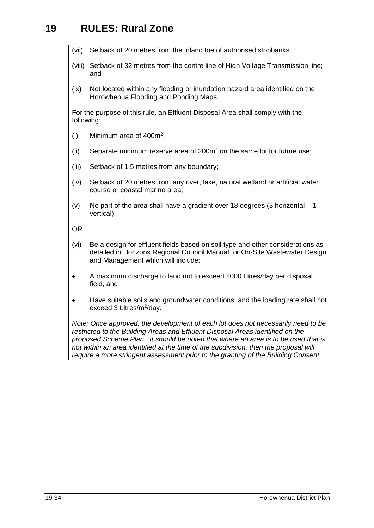- (vii) Setback of 20 metres from the inland toe of authorised stopbanks
- (viii) Setback of 32 metres from the centre line of High Voltage Transmission line; and
- (ix) Not located within any flooding or inundation hazard area identified on the Horowhenua Flooding and Ponding Maps.

For the purpose of this rule, an Effluent Disposal Area shall comply with the following:

- $(i)$  Minimum area of 400 $m<sup>2</sup>$ :
- (ii) Separate minimum reserve area of  $200m<sup>2</sup>$  on the same lot for future use;
- (iii) Setback of 1.5 metres from any boundary;
- (iv) Setback of 20 metres from any river, lake, natural wetland or artificial water course or coastal marine area;
- (v) No part of the area shall have a gradient over 18 degrees (3 horizontal  $-1$ vertical);

OR

- (vi) Be a design for effluent fields based on soil type and other considerations as detailed in Horizons Regional Council Manual for On-Site Wastewater Design and Management which will include:
- A maximum discharge to land not to exceed 2000 Litres/day per disposal field, and
- Have suitable soils and groundwater conditions, and the loading rate shall not exceed 3 Litres/m<sup>2</sup>/day.

*Note: Once approved, the development of each lot does not necessarily need to be restricted to the Building Areas and Effluent Disposal Areas identified on the proposed Scheme Plan. It should be noted that where an area is to be used that is not within an area identified at the time of the subdivision, then the proposal will require a more stringent assessment prior to the granting of the Building Consent.*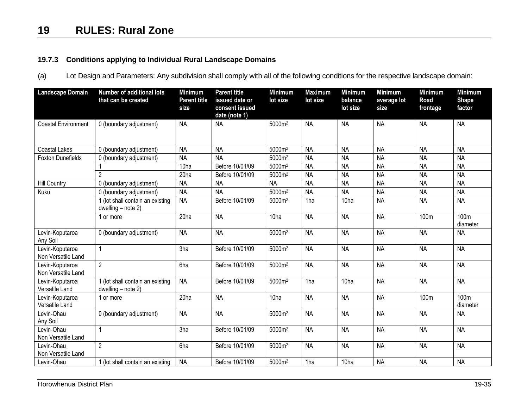## **19.7.3 Conditions applying to Individual Rural Landscape Domains**

(a) Lot Design and Parameters: Any subdivision shall comply with all of the following conditions for the respective landscape domain:

<span id="page-34-0"></span>

| <b>Landscape Domain</b>               | <b>Number of additional lots</b><br>that can be created | <b>Minimum</b><br><b>Parent title</b><br>size | <b>Parent title</b><br>issued date or<br>consent issued<br>date (note 1) | <b>Minimum</b><br>lot size | <b>Maximum</b><br>lot size | <b>Minimum</b><br>balance<br>lot size | <b>Minimum</b><br>average lot<br>size | <b>Minimum</b><br>Road<br>frontage | <b>Minimum</b><br><b>Shape</b><br>factor |
|---------------------------------------|---------------------------------------------------------|-----------------------------------------------|--------------------------------------------------------------------------|----------------------------|----------------------------|---------------------------------------|---------------------------------------|------------------------------------|------------------------------------------|
| <b>Coastal Environment</b>            | 0 (boundary adjustment)                                 | <b>NA</b>                                     | <b>NA</b>                                                                | 5000m <sup>2</sup>         | <b>NA</b>                  | <b>NA</b>                             | <b>NA</b>                             | <b>NA</b>                          | <b>NA</b>                                |
| <b>Coastal Lakes</b>                  | 0 (boundary adjustment)                                 | <b>NA</b>                                     | <b>NA</b>                                                                | 5000m <sup>2</sup>         | <b>NA</b>                  | <b>NA</b>                             | <b>NA</b>                             | <b>NA</b>                          | <b>NA</b>                                |
| <b>Foxton Dunefields</b>              | 0 (boundary adjustment)                                 | <b>NA</b>                                     | <b>NA</b>                                                                | 5000m <sup>2</sup>         | <b>NA</b>                  | <b>NA</b>                             | <b>NA</b>                             | <b>NA</b>                          | <b>NA</b>                                |
|                                       |                                                         | 10 <sub>ha</sub>                              | Before 10/01/09                                                          | 5000m <sup>2</sup>         | <b>NA</b>                  | <b>NA</b>                             | <b>NA</b>                             | <b>NA</b>                          | <b>NA</b>                                |
|                                       | $\overline{2}$                                          | 20ha                                          | Before 10/01/09                                                          | 5000m <sup>2</sup>         | <b>NA</b>                  | <b>NA</b>                             | <b>NA</b>                             | <b>NA</b>                          | <b>NA</b>                                |
| <b>Hill Country</b>                   | 0 (boundary adjustment)                                 | <b>NA</b>                                     | <b>NA</b>                                                                | <b>NA</b>                  | <b>NA</b>                  | <b>NA</b>                             | <b>NA</b>                             | <b>NA</b>                          | <b>NA</b>                                |
| Kuku                                  | 0 (boundary adjustment)                                 | <b>NA</b>                                     | <b>NA</b>                                                                | 5000m <sup>2</sup>         | <b>NA</b>                  | <b>NA</b>                             | <b>NA</b>                             | <b>NA</b>                          | <b>NA</b>                                |
|                                       | (lot shall contain an existing<br>dwelling - note 2)    | <b>NA</b>                                     | Before 10/01/09                                                          | 5000m <sup>2</sup>         | 1ha                        | 10ha                                  | <b>NA</b>                             | <b>NA</b>                          | <b>NA</b>                                |
|                                       | or more                                                 | 20ha                                          | <b>NA</b>                                                                | 10 <sub>ha</sub>           | <b>NA</b>                  | <b>NA</b>                             | <b>NA</b>                             | 100m                               | 100m<br>diameter                         |
| Levin-Koputaroa<br>Any Soil           | 0 (boundary adjustment)                                 | <b>NA</b>                                     | <b>NA</b>                                                                | 5000m <sup>2</sup>         | <b>NA</b>                  | <b>NA</b>                             | <b>NA</b>                             | <b>NA</b>                          | <b>NA</b>                                |
| Levin-Koputaroa<br>Non Versatile Land |                                                         | 3ha                                           | Before 10/01/09                                                          | 5000m <sup>2</sup>         | <b>NA</b>                  | <b>NA</b>                             | <b>NA</b>                             | <b>NA</b>                          | <b>NA</b>                                |
| Levin-Koputaroa<br>Non Versatile Land | $\overline{2}$                                          | 6ha                                           | Before 10/01/09                                                          | 5000m <sup>2</sup>         | <b>NA</b>                  | <b>NA</b>                             | <b>NA</b>                             | <b>NA</b>                          | <b>NA</b>                                |
| Levin-Koputaroa<br>Versatile Land     | 1 (lot shall contain an existing<br>dwelling - note 2)  | <b>NA</b>                                     | Before 10/01/09                                                          | 5000m <sup>2</sup>         | 1ha                        | 10 <sub>ha</sub>                      | <b>NA</b>                             | <b>NA</b>                          | <b>NA</b>                                |
| Levin-Koputaroa<br>Versatile Land     | 1 or more                                               | 20ha                                          | <b>NA</b>                                                                | 10ha                       | <b>NA</b>                  | <b>NA</b>                             | <b>NA</b>                             | 100m                               | 100m<br>diameter                         |
| Levin-Ohau<br>Any Soil                | 0 (boundary adjustment)                                 | <b>NA</b>                                     | <b>NA</b>                                                                | 5000m <sup>2</sup>         | <b>NA</b>                  | <b>NA</b>                             | <b>NA</b>                             | <b>NA</b>                          | <b>NA</b>                                |
| Levin-Ohau<br>Non Versatile Land      |                                                         | 3ha                                           | Before 10/01/09                                                          | 5000m <sup>2</sup>         | <b>NA</b>                  | <b>NA</b>                             | <b>NA</b>                             | <b>NA</b>                          | <b>NA</b>                                |
| Levin-Ohau<br>Non Versatile Land      | $\overline{2}$                                          | 6ha                                           | Before 10/01/09                                                          | 5000m <sup>2</sup>         | <b>NA</b>                  | <b>NA</b>                             | <b>NA</b>                             | <b>NA</b>                          | <b>NA</b>                                |
| Levin-Ohau                            | (lot shall contain an existing                          | <b>NA</b>                                     | Before 10/01/09                                                          | 5000m <sup>2</sup>         | 1ha                        | 10 <sub>ha</sub>                      | <b>NA</b>                             | <b>NA</b>                          | <b>NA</b>                                |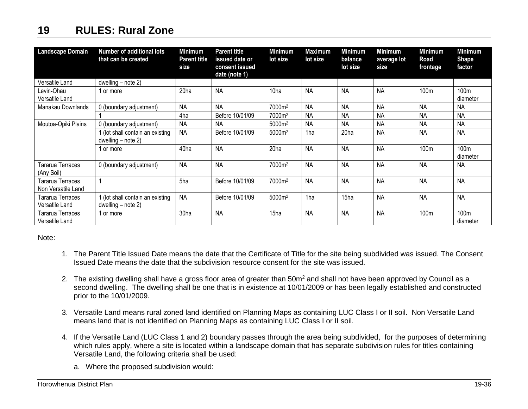| <b>Landscape Domain</b>                       | <b>Number of additional lots</b><br>that can be created  | <b>Minimum</b><br><b>Parent title</b><br>size | <b>Parent title</b><br>issued date or<br>consent issued<br>date (note 1) | <b>Minimum</b><br>lot size | Maximum<br>lot size | Minimum<br>balance<br>lot size | <b>Minimum</b><br>average lot<br>size | <b>Minimum</b><br>Road<br>frontage | Minimum<br><b>Shape</b><br>factor |
|-----------------------------------------------|----------------------------------------------------------|-----------------------------------------------|--------------------------------------------------------------------------|----------------------------|---------------------|--------------------------------|---------------------------------------|------------------------------------|-----------------------------------|
| Versatile Land                                | dwelling $-$ note 2)                                     |                                               |                                                                          |                            |                     |                                |                                       |                                    |                                   |
| Levin-Ohau<br>Versatile Land                  | 1 or more                                                | 20ha                                          | <b>NA</b>                                                                | 10 <sub>ha</sub>           | <b>NA</b>           | <b>NA</b>                      | <b>NA</b>                             | 100m                               | 100m<br>diameter                  |
| Manakau Downlands                             | 0 (boundary adjustment)                                  | <b>NA</b>                                     | <b>NA</b>                                                                | 7000m <sup>2</sup>         | <b>NA</b>           | <b>NA</b>                      | <b>NA</b>                             | <b>NA</b>                          | <b>NA</b>                         |
|                                               |                                                          | 4ha                                           | Before 10/01/09                                                          | 7000m <sup>2</sup>         | <b>NA</b>           | <b>NA</b>                      | <b>NA</b>                             | <b>NA</b>                          | <b>NA</b>                         |
| Moutoa-Opiki Plains                           | 0 (boundary adjustment)                                  | NА                                            | <b>NA</b>                                                                | 5000m <sup>2</sup>         | <b>NA</b>           | <b>NA</b>                      | <b>NA</b>                             | <b>NA</b>                          | <b>NA</b>                         |
|                                               | (lot shall contain an existing<br>dwelling $-$ note 2)   | <b>NA</b>                                     | Before 10/01/09                                                          | 5000m <sup>2</sup>         | 1ha                 | 20 <sub>ha</sub>               | <b>NA</b>                             | <b>NA</b>                          | <b>NA</b>                         |
|                                               | 1 or more                                                | 40ha                                          | <b>NA</b>                                                                | 20ha                       | <b>NA</b>           | <b>NA</b>                      | <b>NA</b>                             | 100m                               | 100m<br>diameter                  |
| Tararua Terraces<br>(Any Soil)                | 0 (boundary adjustment)                                  | <b>NA</b>                                     | <b>NA</b>                                                                | 7000m <sup>2</sup>         | <b>NA</b>           | <b>NA</b>                      | <b>NA</b>                             | <b>NA</b>                          | <b>NA</b>                         |
| <b>Tararua Terraces</b><br>Non Versatile Land |                                                          | 5ha                                           | Before 10/01/09                                                          | 7000m <sup>2</sup>         | <b>NA</b>           | <b>NA</b>                      | <b>NA</b>                             | <b>NA</b>                          | <b>NA</b>                         |
| Tararua Terraces<br>Versatile Land            | 1 (lot shall contain an existing<br>dwelling $-$ note 2) | <b>NA</b>                                     | Before 10/01/09                                                          | 5000m <sup>2</sup>         | 1ha                 | 15ha                           | <b>NA</b>                             | <b>NA</b>                          | <b>NA</b>                         |
| Tararua Terraces<br>Versatile Land            | 1 or more                                                | 30ha                                          | <b>NA</b>                                                                | 15ha                       | <b>NA</b>           | <b>NA</b>                      | <b>NA</b>                             | 100m                               | 100 <sub>m</sub><br>diameter      |

Note:

- 1. The Parent Title Issued Date means the date that the Certificate of Title for the site being subdivided was issued. The Consent Issued Date means the date that the subdivision resource consent for the site was issued.
- 2. The existing dwelling shall have a gross floor area of greater than 50m<sup>2</sup> and shall not have been approved by Council as a second dwelling. The dwelling shall be one that is in existence at 10/01/2009 or has been legally established and constructed prior to the 10/01/2009.
- 3. Versatile Land means rural zoned land identified on Planning Maps as containing LUC Class I or II soil. Non Versatile Land means land that is not identified on Planning Maps as containing LUC Class I or II soil.
- 4. If the Versatile Land (LUC Class 1 and 2) boundary passes through the area being subdivided, for the purposes of determining which rules apply, where a site is located within a landscape domain that has separate subdivision rules for titles containing Versatile Land, the following criteria shall be used:
	- a. Where the proposed subdivision would: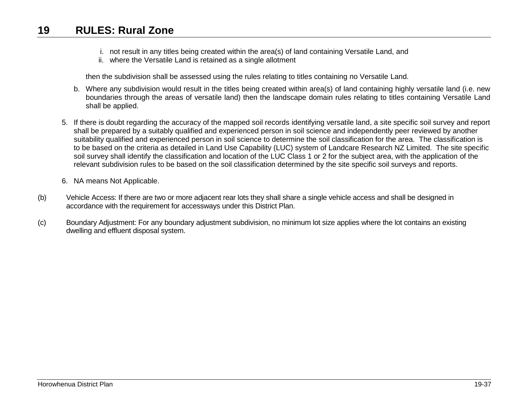- i. not result in any titles being created within the area(s) of land containing Versatile Land, and
- ii. where the Versatile Land is retained as a single allotment

then the subdivision shall be assessed using the rules relating to titles containing no Versatile Land.

- b. Where any subdivision would result in the titles being created within area(s) of land containing highly versatile land (i.e. new boundaries through the areas of versatile land) then the landscape domain rules relating to titles containing Versatile Land shall be applied.
- 5. If there is doubt regarding the accuracy of the mapped soil records identifying versatile land, a site specific soil survey and report shall be prepared by a suitably qualified and experienced person in soil science and independently peer reviewed by another suitability qualified and experienced person in soil science to determine the soil classification for the area. The classification is to be based on the criteria as detailed in Land Use Capability (LUC) system of Landcare Research NZ Limited. The site specific soil survey shall identify the classification and location of the LUC Class 1 or 2 for the subject area, with the application of the relevant subdivision rules to be based on the soil classification determined by the site specific soil surveys and reports.
- 6. NA means Not Applicable.
- (b) Vehicle Access: If there are two or more adjacent rear lots they shall share a single vehicle access and shall be designed in accordance with the requirement for accessways under this District Plan.
- (c) Boundary Adjustment: For any boundary adjustment subdivision, no minimum lot size applies where the lot contains an existing dwelling and effluent disposal system.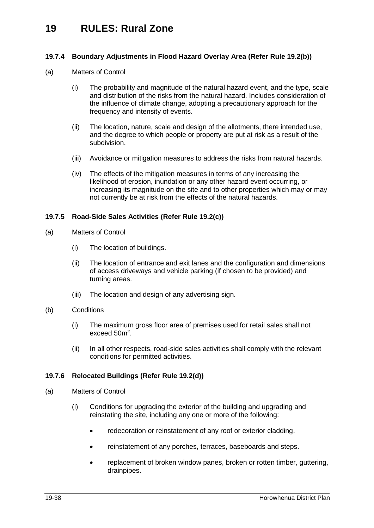## <span id="page-37-0"></span>**19.7.4 Boundary Adjustments in Flood Hazard Overlay Area (Refer Rule [19.2\(b\)\)](#page-4-0)**

- (a) Matters of Control
	- (i) The probability and magnitude of the natural hazard event, and the type, scale and distribution of the risks from the natural hazard. Includes consideration of the influence of climate change, adopting a precautionary approach for the frequency and intensity of events.
	- (ii) The location, nature, scale and design of the allotments, there intended use, and the degree to which people or property are put at risk as a result of the subdivision.
	- (iii) Avoidance or mitigation measures to address the risks from natural hazards.
	- (iv) The effects of the mitigation measures in terms of any increasing the likelihood of erosion, inundation or any other hazard event occurring, or increasing its magnitude on the site and to other properties which may or may not currently be at risk from the effects of the natural hazards.

## <span id="page-37-1"></span>**19.7.5 Road-Side Sales Activities (Refer Rule [19.2\(c\)\)](#page-4-2)**

- (a) Matters of Control
	- (i) The location of buildings.
	- (ii) The location of entrance and exit lanes and the configuration and dimensions of access driveways and vehicle parking (if chosen to be provided) and turning areas.
	- (iii) The location and design of any advertising sign.
- (b) Conditions
	- (i) The maximum gross floor area of premises used for retail sales shall not exceed 50m<sup>2</sup>.
	- (ii) In all other respects, road-side sales activities shall comply with the relevant conditions for permitted activities.

## <span id="page-37-2"></span>**19.7.6 Relocated Buildings (Refer Rule [19.2\(d\)\)](#page-4-3)**

- (a) Matters of Control
	- (i) Conditions for upgrading the exterior of the building and upgrading and reinstating the site, including any one or more of the following:
		- redecoration or reinstatement of any roof or exterior cladding.
		- reinstatement of any porches, terraces, baseboards and steps.
		- replacement of broken window panes, broken or rotten timber, guttering, drainpipes.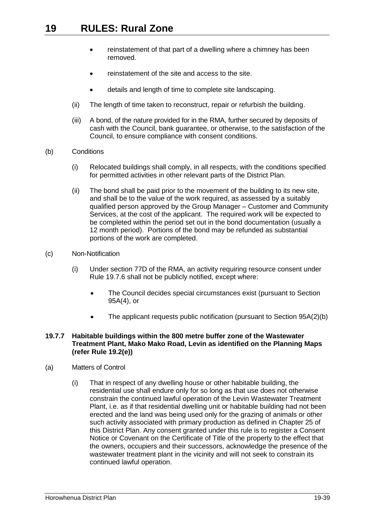- reinstatement of that part of a dwelling where a chimney has been removed.
- reinstatement of the site and access to the site.
- details and length of time to complete site landscaping.
- (ii) The length of time taken to reconstruct, repair or refurbish the building.
- (iii) A bond, of the nature provided for in the RMA, further secured by deposits of cash with the Council, bank guarantee, or otherwise, to the satisfaction of the Council, to ensure compliance with consent conditions.
- (b) Conditions
	- (i) Relocated buildings shall comply, in all respects, with the conditions specified for permitted activities in other relevant parts of the District Plan.
	- (ii) The bond shall be paid prior to the movement of the building to its new site, and shall be to the value of the work required, as assessed by a suitably qualified person approved by the Group Manager – Customer and Community Services, at the cost of the applicant. The required work will be expected to be completed within the period set out in the bond documentation (usually a 12 month period). Portions of the bond may be refunded as substantial portions of the work are completed.
- (c) Non-Notification
	- (i) Under section 77D of the RMA, an activity requiring resource consent under Rule 19.7.6 shall not be publicly notified, except where:
		- The Council decides special circumstances exist (pursuant to Section 95A(4), or
		- The applicant requests public notification (pursuant to Section 95A(2)(b)

#### <span id="page-38-0"></span>**19.7.7 Habitable buildings within the 800 metre buffer zone of the Wastewater Treatment Plant, Mako Mako Road, Levin as identified on the Planning Maps (refer Rule [19.2\(e\)\)](#page-4-4)**

- (a) Matters of Control
	- (i) That in respect of any dwelling house or other habitable building, the residential use shall endure only for so long as that use does not otherwise constrain the continued lawful operation of the Levin Wastewater Treatment Plant, i.e. as if that residential dwelling unit or habitable building had not been erected and the land was being used only for the grazing of animals or other such activity associated with primary production as defined in Chapter 25 of this District Plan. Any consent granted under this rule is to register a Consent Notice or Covenant on the Certificate of Title of the property to the effect that the owners, occupiers and their successors, acknowledge the presence of the wastewater treatment plant in the vicinity and will not seek to constrain its continued lawful operation.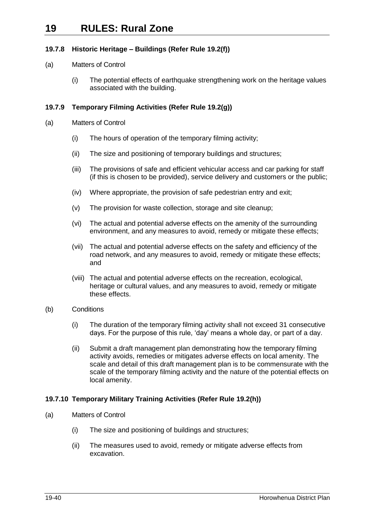## <span id="page-39-0"></span>**19.7.8 Historic Heritage – Buildings (Refer Rule [19.2\(f\)\)](#page-4-5)**

## (a) Matters of Control

(i) The potential effects of earthquake strengthening work on the heritage values associated with the building.

## <span id="page-39-1"></span>**19.7.9 Temporary Filming Activities (Refer Rule [19.2\(g\)\)](#page-4-6)**

- (a) Matters of Control
	- (i) The hours of operation of the temporary filming activity;
	- (ii) The size and positioning of temporary buildings and structures;
	- (iii) The provisions of safe and efficient vehicular access and car parking for staff (if this is chosen to be provided), service delivery and customers or the public;
	- (iv) Where appropriate, the provision of safe pedestrian entry and exit;
	- (v) The provision for waste collection, storage and site cleanup;
	- (vi) The actual and potential adverse effects on the amenity of the surrounding environment, and any measures to avoid, remedy or mitigate these effects;
	- (vii) The actual and potential adverse effects on the safety and efficiency of the road network, and any measures to avoid, remedy or mitigate these effects; and
	- (viii) The actual and potential adverse effects on the recreation, ecological, heritage or cultural values, and any measures to avoid, remedy or mitigate these effects.
- (b) Conditions
	- (i) The duration of the temporary filming activity shall not exceed 31 consecutive days. For the purpose of this rule, 'day' means a whole day, or part of a day.
	- (ii) Submit a draft management plan demonstrating how the temporary filming activity avoids, remedies or mitigates adverse effects on local amenity. The scale and detail of this draft management plan is to be commensurate with the scale of the temporary filming activity and the nature of the potential effects on local amenity.

## <span id="page-39-2"></span>**19.7.10 Temporary Military Training Activities (Refer Rule [19.2\(h\)\)](#page-4-7)**

- (a) Matters of Control
	- (i) The size and positioning of buildings and structures;
	- (ii) The measures used to avoid, remedy or mitigate adverse effects from excavation.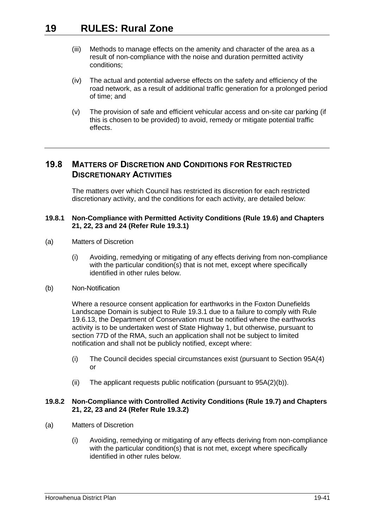- (iii) Methods to manage effects on the amenity and character of the area as a result of non-compliance with the noise and duration permitted activity conditions;
- (iv) The actual and potential adverse effects on the safety and efficiency of the road network, as a result of additional traffic generation for a prolonged period of time; and
- (v) The provision of safe and efficient vehicular access and on-site car parking (if this is chosen to be provided) to avoid, remedy or mitigate potential traffic effects.

## <span id="page-40-0"></span>**19.8 MATTERS OF DISCRETION AND CONDITIONS FOR RESTRICTED DISCRETIONARY ACTIVITIES**

The matters over which Council has restricted its discretion for each restricted discretionary activity, and the conditions for each activity, are detailed below:

## <span id="page-40-1"></span>**19.8.1 Non-Compliance with Permitted Activity Conditions (Rule [19.6\)](#page-12-0) and Chapters 21, 22, 23 and 24 (Refer Rule [19.3.1\)](#page-4-8)**

- (a) Matters of Discretion
	- (i) Avoiding, remedying or mitigating of any effects deriving from non-compliance with the particular condition(s) that is not met, except where specifically identified in other rules below.
- (b) Non-Notification

Where a resource consent application for earthworks in the Foxton Dunefields Landscape Domain is subject to Rule [19.3.1](#page-4-8) due to a failure to comply with Rule [19.6.13,](#page-17-2) the Department of Conservation must be notified where the earthworks activity is to be undertaken west of State Highway 1, but otherwise, pursuant to section 77D of the RMA, such an application shall not be subject to limited notification and shall not be publicly notified, except where:

- (i) The Council decides special circumstances exist (pursuant to Section 95A(4) or
- (ii) The applicant requests public notification (pursuant to 95A(2)(b)).

## <span id="page-40-2"></span>**19.8.2 Non-Compliance with Controlled Activity Conditions (Rule [19.7\)](#page-29-0) and Chapters 21, 22, 23 and 24 (Refer Rule [19.3.2\)](#page-5-0)**

- (a) Matters of Discretion
	- (i) Avoiding, remedying or mitigating of any effects deriving from non-compliance with the particular condition(s) that is not met, except where specifically identified in other rules below.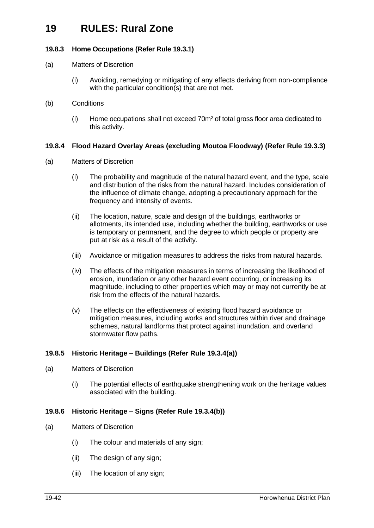## **19.8.3 Home Occupations (Refer Rule [19.3.1\)](#page-4-8)**

- (a) Matters of Discretion
	- (i) Avoiding, remedying or mitigating of any effects deriving from non-compliance with the particular condition(s) that are not met.
- (b) Conditions
	- (i) Home occupations shall not exceed 70m² of total gross floor area dedicated to this activity.

## <span id="page-41-0"></span>**19.8.4 Flood Hazard Overlay Areas (excluding Moutoa Floodway) (Refer Rule [19.3.3\)](#page-5-1)**

- (a) Matters of Discretion
	- (i) The probability and magnitude of the natural hazard event, and the type, scale and distribution of the risks from the natural hazard. Includes consideration of the influence of climate change, adopting a precautionary approach for the frequency and intensity of events.
	- (ii) The location, nature, scale and design of the buildings, earthworks or allotments, its intended use, including whether the building, earthworks or use is temporary or permanent, and the degree to which people or property are put at risk as a result of the activity.
	- (iii) Avoidance or mitigation measures to address the risks from natural hazards.
	- (iv) The effects of the mitigation measures in terms of increasing the likelihood of erosion, inundation or any other hazard event occurring, or increasing its magnitude, including to other properties which may or may not currently be at risk from the effects of the natural hazards.
	- (v) The effects on the effectiveness of existing flood hazard avoidance or mitigation measures, including works and structures within river and drainage schemes, natural landforms that protect against inundation, and overland stormwater flow paths.

## <span id="page-41-1"></span>**19.8.5 Historic Heritage – Buildings (Refer Rule [19.3.4\(a\)\)](#page-5-2)**

- (a) Matters of Discretion
	- (i) The potential effects of earthquake strengthening work on the heritage values associated with the building.

## <span id="page-41-2"></span>**19.8.6 Historic Heritage – Signs (Refer Rule [19.3.4\(b\)\)](#page-5-3)**

- (a) Matters of Discretion
	- (i) The colour and materials of any sign;
	- (ii) The design of any sign;
	- (iii) The location of any sign;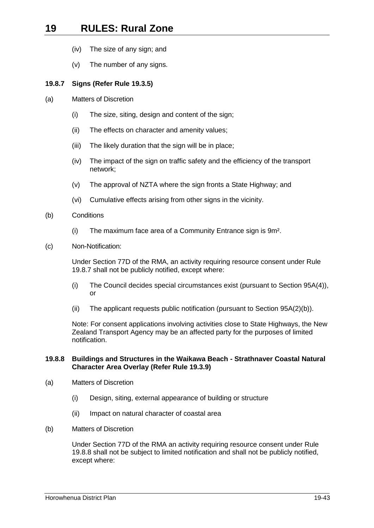- (iv) The size of any sign; and
- (v) The number of any signs.

#### <span id="page-42-0"></span>**19.8.7 Signs (Refer Rule [19.3.5\)](#page-5-4)**

- (a) Matters of Discretion
	- (i) The size, siting, design and content of the sign;
	- (ii) The effects on character and amenity values;
	- (iii) The likely duration that the sign will be in place;
	- (iv) The impact of the sign on traffic safety and the efficiency of the transport network;
	- (v) The approval of NZTA where the sign fronts a State Highway; and
	- (vi) Cumulative effects arising from other signs in the vicinity.
- <span id="page-42-2"></span>(b) Conditions
	- (i) The maximum face area of a Community Entrance sign is 9m².
- (c) Non-Notification:

Under Section 77D of the RMA, an activity requiring resource consent under Rule [19.8.7](#page-42-0) shall not be publicly notified, except where:

- (i) The Council decides special circumstances exist (pursuant to Section 95A(4)), or
- (ii) The applicant requests public notification (pursuant to Section 95A(2)(b)).

Note: For consent applications involving activities close to State Highways, the New Zealand Transport Agency may be an affected party for the purposes of limited notification.

#### <span id="page-42-1"></span>**19.8.8 Buildings and Structures in the Waikawa Beach - Strathnaver Coastal Natural Character Area Overlay (Refer Rule [19.3.9\)](#page-7-1)**

- (a) Matters of Discretion
	- (i) Design, siting, external appearance of building or structure
	- (ii) Impact on natural character of coastal area
- (b) Matters of Discretion

Under Section 77D of the RMA an activity requiring resource consent under Rule 19.8.8 shall not be subject to limited notification and shall not be publicly notified, except where: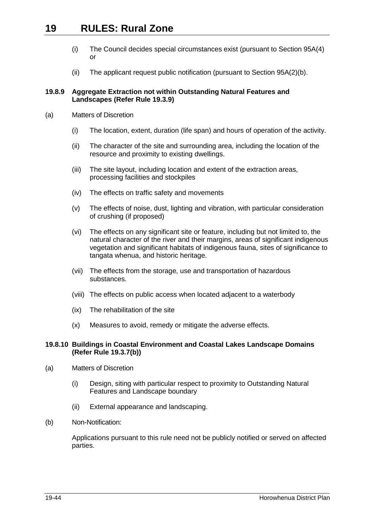- (i) The Council decides special circumstances exist (pursuant to Section 95A(4) or
- (ii) The applicant request public notification (pursuant to Section 95A(2)(b).

#### <span id="page-43-0"></span>**19.8.9 Aggregate Extraction not within Outstanding Natural Features and Landscapes (Refer Rule 19.3.9)**

- (a) Matters of Discretion
	- (i) The location, extent, duration (life span) and hours of operation of the activity.
	- (ii) The character of the site and surrounding area, including the location of the resource and proximity to existing dwellings.
	- (iii) The site layout, including location and extent of the extraction areas, processing facilities and stockpiles
	- (iv) The effects on traffic safety and movements
	- (v) The effects of noise, dust, lighting and vibration, with particular consideration of crushing (if proposed)
	- (vi) The effects on any significant site or feature, including but not limited to, the natural character of the river and their margins, areas of significant indigenous vegetation and significant habitats of indigenous fauna, sites of significance to tangata whenua, and historic heritage.
	- (vii) The effects from the storage, use and transportation of hazardous substances.
	- (viii) The effects on public access when located adjacent to a waterbody
	- (ix) The rehabilitation of the site
	- (x) Measures to avoid, remedy or mitigate the adverse effects.

#### **19.8.10 Buildings in Coastal Environment and Coastal Lakes Landscape Domains (Refer Rule [19.3.7\(b\)\)](#page-6-1)**

- (a) Matters of Discretion
	- (i) Design, siting with particular respect to proximity to Outstanding Natural Features and Landscape boundary
	- (ii) External appearance and landscaping.
- (b) Non-Notification:

Applications pursuant to this rule need not be publicly notified or served on affected parties.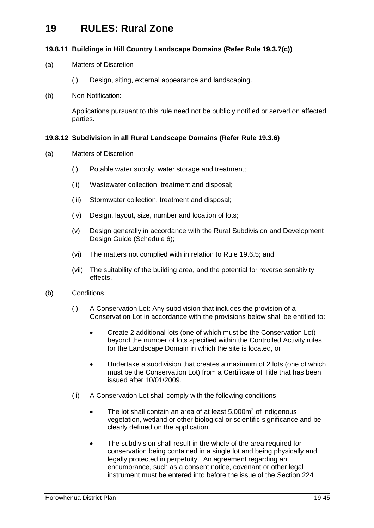## **19.8.11 Buildings in Hill Country Landscape Domains (Refer Rule [19.3.7\(c\)\)](#page-6-2)**

- (a) Matters of Discretion
	- (i) Design, siting, external appearance and landscaping.
- (b) Non-Notification:

Applications pursuant to this rule need not be publicly notified or served on affected parties.

## <span id="page-44-0"></span>**19.8.12 Subdivision in all Rural Landscape Domains (Refer Rule [19.3.6\)](#page-5-5)**

- (a) Matters of Discretion
	- (i) Potable water supply, water storage and treatment;
	- (ii) Wastewater collection, treatment and disposal;
	- (iii) Stormwater collection, treatment and disposal;
	- (iv) Design, layout, size, number and location of lots;
	- (v) Design generally in accordance with the Rural Subdivision and Development Design Guide (Schedule 6);
	- (vi) The matters not complied with in relation to Rule [19.6.5;](#page-13-1) and
	- (vii) The suitability of the building area, and the potential for reverse sensitivity effects.
- (b) Conditions
	- (i) A Conservation Lot: Any subdivision that includes the provision of a Conservation Lot in accordance with the provisions below shall be entitled to:
		- Create 2 additional lots (one of which must be the Conservation Lot) beyond the number of lots specified within the Controlled Activity rules for the Landscape Domain in which the site is located, or
		- Undertake a subdivision that creates a maximum of 2 lots (one of which must be the Conservation Lot) from a Certificate of Title that has been issued after 10/01/2009.
	- (ii) A Conservation Lot shall comply with the following conditions:
		- The lot shall contain an area of at least  $5.000\,\mathrm{m}^2$  of indigenous vegetation, wetland or other biological or scientific significance and be clearly defined on the application.
		- The subdivision shall result in the whole of the area required for conservation being contained in a single lot and being physically and legally protected in perpetuity. An agreement regarding an encumbrance, such as a consent notice, covenant or other legal instrument must be entered into before the issue of the Section 224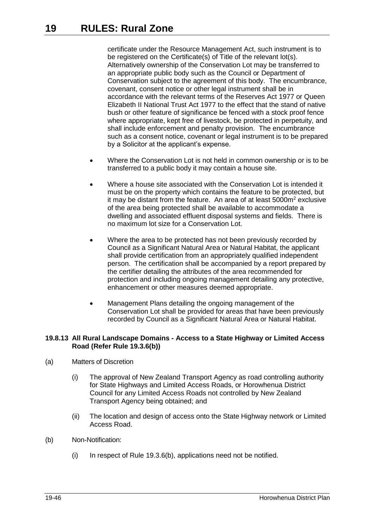certificate under the Resource Management Act, such instrument is to be registered on the Certificate(s) of Title of the relevant lot(s). Alternatively ownership of the Conservation Lot may be transferred to an appropriate public body such as the Council or Department of Conservation subject to the agreement of this body. The encumbrance, covenant, consent notice or other legal instrument shall be in accordance with the relevant terms of the Reserves Act 1977 or Queen Elizabeth II National Trust Act 1977 to the effect that the stand of native bush or other feature of significance be fenced with a stock proof fence where appropriate, kept free of livestock, be protected in perpetuity, and shall include enforcement and penalty provision. The encumbrance such as a consent notice, covenant or legal instrument is to be prepared by a Solicitor at the applicant's expense.

- Where the Conservation Lot is not held in common ownership or is to be transferred to a public body it may contain a house site.
- Where a house site associated with the Conservation Lot is intended it must be on the property which contains the feature to be protected, but it may be distant from the feature. An area of at least  $5000m<sup>2</sup>$  exclusive of the area being protected shall be available to accommodate a dwelling and associated effluent disposal systems and fields. There is no maximum lot size for a Conservation Lot.
- Where the area to be protected has not been previously recorded by Council as a Significant Natural Area or Natural Habitat, the applicant shall provide certification from an appropriately qualified independent person. The certification shall be accompanied by a report prepared by the certifier detailing the attributes of the area recommended for protection and including ongoing management detailing any protective, enhancement or other measures deemed appropriate.
- Management Plans detailing the ongoing management of the Conservation Lot shall be provided for areas that have been previously recorded by Council as a Significant Natural Area or Natural Habitat.

## <span id="page-45-0"></span>**19.8.13 All Rural Landscape Domains - Access to a State Highway or Limited Access Road (Refer Rule [19.3.6\(b\)\)](#page-5-6)**

- (a) Matters of Discretion
	- (i) The approval of New Zealand Transport Agency as road controlling authority for State Highways and Limited Access Roads, or Horowhenua District Council for any Limited Access Roads not controlled by New Zealand Transport Agency being obtained; and
	- (ii) The location and design of access onto the State Highway network or Limited Access Road.
- (b) Non-Notification:
	- (i) In respect of Rule [19.3.6\(b\),](#page-5-6) applications need not be notified.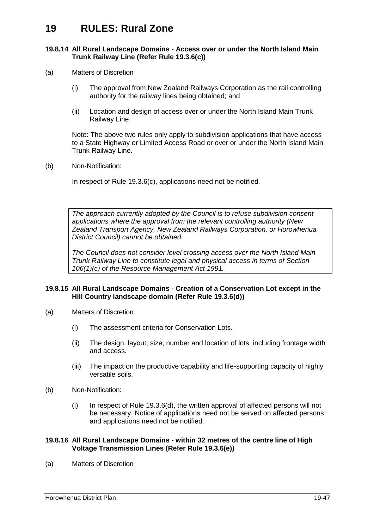#### <span id="page-46-0"></span>**19.8.14 All Rural Landscape Domains - Access over or under the North Island Main Trunk Railway Line (Refer Rule [19.3.6\(c\)\)](#page-5-7)**

- (a) Matters of Discretion
	- (i) The approval from New Zealand Railways Corporation as the rail controlling authority for the railway lines being obtained; and
	- (ii) Location and design of access over or under the North Island Main Trunk Railway Line.

Note: The above two rules only apply to subdivision applications that have access to a State Highway or Limited Access Road or over or under the North Island Main Trunk Railway Line.

(b) Non-Notification:

In respect of Rule [19.3.6\(c\),](#page-5-7) applications need not be notified.

*The approach currently adopted by the Council is to refuse subdivision consent applications where the approval from the relevant controlling authority (New Zealand Transport Agency, New Zealand Railways Corporation, or Horowhenua District Council) cannot be obtained.* 

*The Council does not consider level crossing access over the North Island Main Trunk Railway Line to constitute legal and physical access in terms of Section 106(1)(c) of the Resource Management Act 1991.* 

#### <span id="page-46-1"></span>**19.8.15 All Rural Landscape Domains - Creation of a Conservation Lot except in the Hill Country landscape domain (Refer Rule [19.3.6\(d\)\)](#page-5-8)**

- (a) Matters of Discretion
	- (i) The assessment criteria for Conservation Lots.
	- (ii) The design, layout, size, number and location of lots, including frontage width and access.
	- (iii) The impact on the productive capability and life-supporting capacity of highly versatile soils.
- (b) Non-Notification:
	- (i) In respect of Rule [19.3.6\(d\),](#page-5-8) the written approval of affected persons will not be necessary. Notice of applications need not be served on affected persons and applications need not be notified.

#### <span id="page-46-2"></span>**19.8.16 All Rural Landscape Domains - within 32 metres of the centre line of High Voltage Transmission Lines (Refer Rule [19.3.6\(e\)\)](#page-5-9)**

(a) Matters of Discretion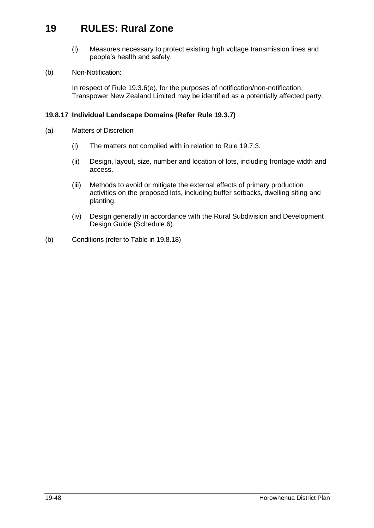- (i) Measures necessary to protect existing high voltage transmission lines and people's health and safety.
- (b) Non-Notification:

In respect of Rule [19.3.6\(e\),](#page-5-9) for the purposes of notification/non-notification, Transpower New Zealand Limited may be identified as a potentially affected party.

## <span id="page-47-0"></span>**19.8.17 Individual Landscape Domains (Refer Rule [19.3.7\)](#page-6-0)**

- (a) Matters of Discretion
	- (i) The matters not complied with in relation to Rule [19.7.3.](#page-34-0)
	- (ii) Design, layout, size, number and location of lots, including frontage width and access.
	- (iii) Methods to avoid or mitigate the external effects of primary production activities on the proposed lots, including buffer setbacks, dwelling siting and planting.
	- (iv) Design generally in accordance with the Rural Subdivision and Development Design Guide (Schedule 6).
- (b) Conditions (refer to Table in [19.8.18\)](#page-48-0)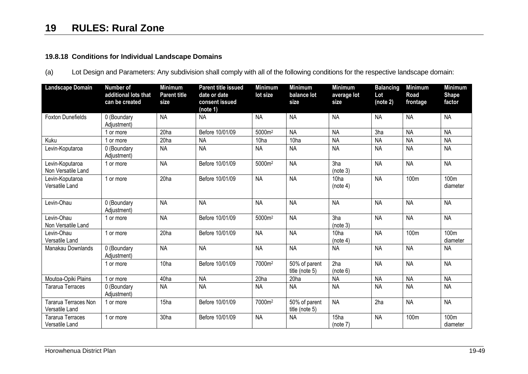## **19.8.18 Conditions for Individual Landscape Domains**

(a) Lot Design and Parameters: Any subdivision shall comply with all of the following conditions for the respective landscape domain:

<span id="page-48-0"></span>

| <b>Landscape Domain</b>                       | <b>Number of</b><br>additional lots that<br>can be created | <b>Minimum</b><br><b>Parent title</b><br>size | <b>Parent title issued</b><br>date or date<br>consent issued<br>(note 1) | <b>Minimum</b><br>lot size | <b>Minimum</b><br>balance lot<br>size | <b>Minimum</b><br>average lot<br>size | <b>Balancing</b><br>Lot<br>(note 2) | <b>Minimum</b><br>Road<br>frontage | <b>Minimum</b><br><b>Shape</b><br>factor |
|-----------------------------------------------|------------------------------------------------------------|-----------------------------------------------|--------------------------------------------------------------------------|----------------------------|---------------------------------------|---------------------------------------|-------------------------------------|------------------------------------|------------------------------------------|
| <b>Foxton Dunefields</b>                      | 0 (Boundary<br>Adjustment)                                 | <b>NA</b>                                     | <b>NA</b>                                                                | <b>NA</b>                  | <b>NA</b>                             | <b>NA</b>                             | <b>NA</b>                           | <b>NA</b>                          | <b>NA</b>                                |
|                                               | 1 or more                                                  | 20ha                                          | Before 10/01/09                                                          | 5000m <sup>2</sup>         | <b>NA</b>                             | <b>NA</b>                             | 3ha                                 | <b>NA</b>                          | <b>NA</b>                                |
| Kuku                                          | or more                                                    | 20ha                                          | <b>NA</b>                                                                | 10ha                       | 10ha                                  | <b>NA</b>                             | <b>NA</b>                           | <b>NA</b>                          | <b>NA</b>                                |
| Levin-Koputaroa                               | 0 (Boundary<br>Adjustment)                                 | <b>NA</b>                                     | <b>NA</b>                                                                | <b>NA</b>                  | <b>NA</b>                             | <b>NA</b>                             | <b>NA</b>                           | <b>NA</b>                          | <b>NA</b>                                |
| Levin-Koputaroa<br>Non Versatile Land         | 1 or more                                                  | <b>NA</b>                                     | Before 10/01/09                                                          | 5000m <sup>2</sup>         | <b>NA</b>                             | 3ha<br>(note 3)                       | <b>NA</b>                           | <b>NA</b>                          | <b>NA</b>                                |
| Levin-Koputaroa<br>Versatile Land             | 1 or more                                                  | 20 <sub>ha</sub>                              | Before 10/01/09                                                          | <b>NA</b>                  | <b>NA</b>                             | 10 <sub>ha</sub><br>(note 4)          | <b>NA</b>                           | 100m                               | 100m<br>diameter                         |
| Levin-Ohau                                    | 0 (Boundary<br>Adjustment)                                 | <b>NA</b>                                     | <b>NA</b>                                                                | <b>NA</b>                  | <b>NA</b>                             | <b>NA</b>                             | <b>NA</b>                           | <b>NA</b>                          | <b>NA</b>                                |
| Levin-Ohau<br>Non Versatile Land              | 1 or more                                                  | <b>NA</b>                                     | Before 10/01/09                                                          | 5000m <sup>2</sup>         | <b>NA</b>                             | 3ha<br>(note 3)                       | <b>NA</b>                           | <b>NA</b>                          | <b>NA</b>                                |
| Levin-Ohau<br>Versatile Land                  | 1 or more                                                  | 20ha                                          | Before 10/01/09                                                          | <b>NA</b>                  | <b>NA</b>                             | 10ha<br>(note 4)                      | <b>NA</b>                           | 100m                               | 100m<br>diameter                         |
| Manakau Downlands                             | 0 (Boundary<br>Adjustment)                                 | <b>NA</b>                                     | <b>NA</b>                                                                | <b>NA</b>                  | <b>NA</b>                             | <b>NA</b>                             | <b>NA</b>                           | <b>NA</b>                          | <b>NA</b>                                |
|                                               | 1 or more                                                  | 10 <sub>ha</sub>                              | Before 10/01/09                                                          | 7000m <sup>2</sup>         | 50% of parent<br>title (note 5)       | 2ha<br>(note 6)                       | <b>NA</b>                           | <b>NA</b>                          | <b>NA</b>                                |
| Moutoa-Opiki Plains                           | 1 or more                                                  | 40ha                                          | <b>NA</b>                                                                | 20ha                       | 20ha                                  | <b>NA</b>                             | <b>NA</b>                           | <b>NA</b>                          | <b>NA</b>                                |
| Tararua Terraces                              | 0 (Boundary<br>Adjustment)                                 | <b>NA</b>                                     | <b>NA</b>                                                                | <b>NA</b>                  | <b>NA</b>                             | <b>NA</b>                             | <b>NA</b>                           | <b>NA</b>                          | <b>NA</b>                                |
| <b>Tararua Terraces Non</b><br>Versatile Land | 1 or more                                                  | 15ha                                          | Before 10/01/09                                                          | 7000m <sup>2</sup>         | 50% of parent<br>title (note 5)       | <b>NA</b>                             | 2ha                                 | <b>NA</b>                          | <b>NA</b>                                |
| Tararua Terraces<br>Versatile Land            | 1 or more                                                  | 30ha                                          | Before 10/01/09                                                          | <b>NA</b>                  | <b>NA</b>                             | 15ha<br>(note 7)                      | <b>NA</b>                           | 100m                               | 100m<br>diameter                         |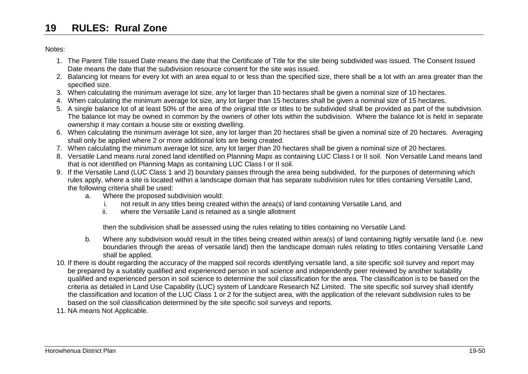Notes:

- 1. The Parent Title Issued Date means the date that the Certificate of Title for the site being subdivided was issued. The Consent Issued Date means the date that the subdivision resource consent for the site was issued.
- 2. Balancing lot means for every lot with an area equal to or less than the specified size, there shall be a lot with an area greater than the specified size.
- 3. When calculating the minimum average lot size, any lot larger than 10 hectares shall be given a nominal size of 10 hectares.
- 4. When calculating the minimum average lot size, any lot larger than 15 hectares shall be given a nominal size of 15 hectares.
- 5. A single balance lot of at least 50% of the area of the original title or titles to be subdivided shall be provided as part of the subdivision. The balance lot may be owned in common by the owners of other lots within the subdivision. Where the balance lot is held in separate ownership it may contain a house site or existing dwelling.
- 6. When calculating the minimum average lot size, any lot larger than 20 hectares shall be given a nominal size of 20 hectares. Averaging shall only be applied where 2 or more additional lots are being created.
- 7. When calculating the minimum average lot size, any lot larger than 20 hectares shall be given a nominal size of 20 hectares.
- 8. Versatile Land means rural zoned land identified on Planning Maps as containing LUC Class I or II soil. Non Versatile Land means land that is not identified on Planning Maps as containing LUC Class I or II soil.
- 9. If the Versatile Land (LUC Class 1 and 2) boundary passes through the area being subdivided, for the purposes of determining which rules apply, where a site is located within a landscape domain that has separate subdivision rules for titles containing Versatile Land, the following criteria shall be used:
	- a. Where the proposed subdivision would:
		- i. not result in any titles being created within the area(s) of land containing Versatile Land, and
		- ii. where the Versatile Land is retained as a single allotment

then the subdivision shall be assessed using the rules relating to titles containing no Versatile Land.

- b. Where any subdivision would result in the titles being created within area(s) of land containing highly versatile land (i.e. new boundaries through the areas of versatile land) then the landscape domain rules relating to titles containing Versatile Land shall be applied.
- 10. If there is doubt regarding the accuracy of the mapped soil records identifying versatile land, a site specific soil survey and report may be prepared by a suitably qualified and experienced person in soil science and independently peer reviewed by another suitability qualified and experienced person in soil science to determine the soil classification for the area. The classification is to be based on the criteria as detailed in Land Use Capability (LUC) system of Landcare Research NZ Limited. The site specific soil survey shall identify the classification and location of the LUC Class 1 or 2 for the subject area, with the application of the relevant subdivision rules to be based on the soil classification determined by the site specific soil surveys and reports.
- 11. NA means Not Applicable.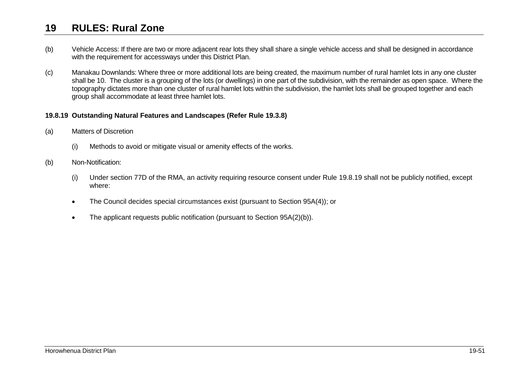- (b) Vehicle Access: If there are two or more adjacent rear lots they shall share a single vehicle access and shall be designed in accordance with the requirement for accessways under this District Plan.
- (c) Manakau Downlands: Where three or more additional lots are being created, the maximum number of rural hamlet lots in any one cluster shall be 10. The cluster is a grouping of the lots (or dwellings) in one part of the subdivision, with the remainder as open space. Where the topography dictates more than one cluster of rural hamlet lots within the subdivision, the hamlet lots shall be grouped together and each group shall accommodate at least three hamlet lots.

#### <span id="page-50-1"></span>**19.8.19 Outstanding Natural Features and Landscapes (Refer Rule [19.3.8\)](#page-7-2)**

- (a) Matters of Discretion
	- (i) Methods to avoid or mitigate visual or amenity effects of the works.
- <span id="page-50-0"></span>(b) Non-Notification:
	- (i) Under section 77D of the RMA, an activity requiring resource consent under Rule [19.8.19](#page-50-1) shall not be publicly notified, except where:
	- The Council decides special circumstances exist (pursuant to Section 95A(4)); or
	- The applicant requests public notification (pursuant to Section 95A(2)(b)).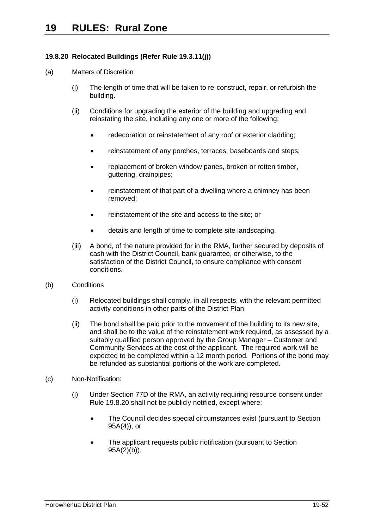## **19.8.20 Relocated Buildings (Refer Rule 19.3.11(j))**

## (a) Matters of Discretion

- (i) The length of time that will be taken to re-construct, repair, or refurbish the building.
- (ii) Conditions for upgrading the exterior of the building and upgrading and reinstating the site, including any one or more of the following:
	- redecoration or reinstatement of any roof or exterior cladding;
	- reinstatement of any porches, terraces, baseboards and steps;
	- replacement of broken window panes, broken or rotten timber, guttering, drainpipes;
	- reinstatement of that part of a dwelling where a chimney has been removed;
	- reinstatement of the site and access to the site; or
	- details and length of time to complete site landscaping.
- (iii) A bond, of the nature provided for in the RMA, further secured by deposits of cash with the District Council, bank guarantee, or otherwise, to the satisfaction of the District Council, to ensure compliance with consent conditions.
- (b) Conditions
	- (i) Relocated buildings shall comply, in all respects, with the relevant permitted activity conditions in other parts of the District Plan.
	- (ii) The bond shall be paid prior to the movement of the building to its new site, and shall be to the value of the reinstatement work required, as assessed by a suitably qualified person approved by the Group Manager – Customer and Community Services at the cost of the applicant. The required work will be expected to be completed within a 12 month period. Portions of the bond may be refunded as substantial portions of the work are completed.
- (c) Non-Notification:
	- (i) Under Section 77D of the RMA, an activity requiring resource consent under Rule 19.8.20 shall not be publicly notified, except where:
		- The Council decides special circumstances exist (pursuant to Section 95A(4)), or
		- The applicant requests public notification (pursuant to Section  $95A(2)(b)$ ).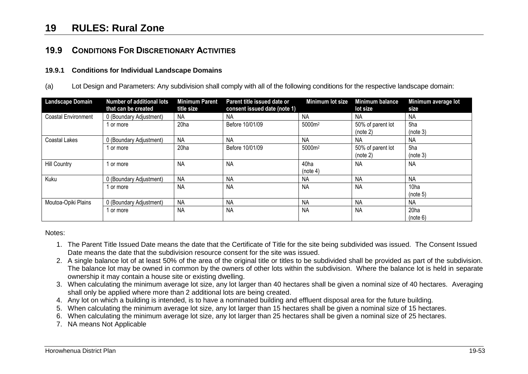## **19.9 CONDITIONS FOR DISCRETIONARY ACTIVITIES**

#### **19.9.1 Conditions for Individual Landscape Domains**

(a) Lot Design and Parameters: Any subdivision shall comply with all of the following conditions for the respective landscape domain:

| <b>Landscape Domain</b> | <b>Number of additional lots</b><br>that can be created | <b>Minimum Parent</b><br>title size | Parent title issued date or<br>consent issued date (note 1) | Minimum lot size   | Minimum balance<br>lot size   | Minimum average lot<br>size  |
|-------------------------|---------------------------------------------------------|-------------------------------------|-------------------------------------------------------------|--------------------|-------------------------------|------------------------------|
| Coastal Environment     | 0 (Boundary Adjustment)                                 | NA                                  | <b>NA</b>                                                   | <b>NA</b>          | NA                            | <b>NA</b>                    |
|                         | 1 or more                                               | 20ha                                | Before 10/01/09                                             | 5000m <sup>2</sup> | 50% of parent lot<br>(note 2) | 5ha<br>(note 3)              |
| Coastal Lakes           | 0 (Boundary Adjustment)                                 | <b>NA</b>                           | <b>NA</b>                                                   | <b>NA</b>          | NA                            | <b>NA</b>                    |
|                         | 1 or more                                               | 20 <sub>ha</sub>                    | Before 10/01/09                                             | 5000m <sup>2</sup> | 50% of parent lot<br>(note 2) | 5ha<br>(note 3)              |
| <b>Hill Country</b>     | 1 or more                                               | <b>NA</b>                           | <b>NA</b>                                                   | 40ha<br>(note 4)   | <b>NA</b>                     | <b>NA</b>                    |
| Kuku                    | 0 (Boundary Adjustment)                                 | <b>NA</b>                           | <b>NA</b>                                                   | <b>NA</b>          | <b>NA</b>                     | <b>NA</b>                    |
|                         | 1 or more                                               | <b>NA</b>                           | <b>NA</b>                                                   | <b>NA</b>          | <b>NA</b>                     | 10 <sub>ha</sub><br>(note 5) |
| Moutoa-Opiki Plains     | 0 (Boundary Adjustment)                                 | <b>NA</b>                           | <b>NA</b>                                                   | <b>NA</b>          | <b>NA</b>                     | <b>NA</b>                    |
|                         | 1 or more                                               | <b>NA</b>                           | <b>NA</b>                                                   | <b>NA</b>          | <b>NA</b>                     | 20 <sub>ha</sub><br>(note 6) |

<span id="page-52-1"></span><span id="page-52-0"></span>Notes:

- 1. The Parent Title Issued Date means the date that the Certificate of Title for the site being subdivided was issued. The Consent Issued Date means the date that the subdivision resource consent for the site was issued.
- 2. A single balance lot of at least 50% of the area of the original title or titles to be subdivided shall be provided as part of the subdivision. The balance lot may be owned in common by the owners of other lots within the subdivision. Where the balance lot is held in separate ownership it may contain a house site or existing dwelling.
- 3. When calculating the minimum average lot size, any lot larger than 40 hectares shall be given a nominal size of 40 hectares. Averaging shall only be applied where more than 2 additional lots are being created.
- 4. Any lot on which a building is intended, is to have a nominated building and effluent disposal area for the future building.
- 5. When calculating the minimum average lot size, any lot larger than 15 hectares shall be given a nominal size of 15 hectares.
- 6. When calculating the minimum average lot size, any lot larger than 25 hectares shall be given a nominal size of 25 hectares.
- 7. NA means Not Applicable